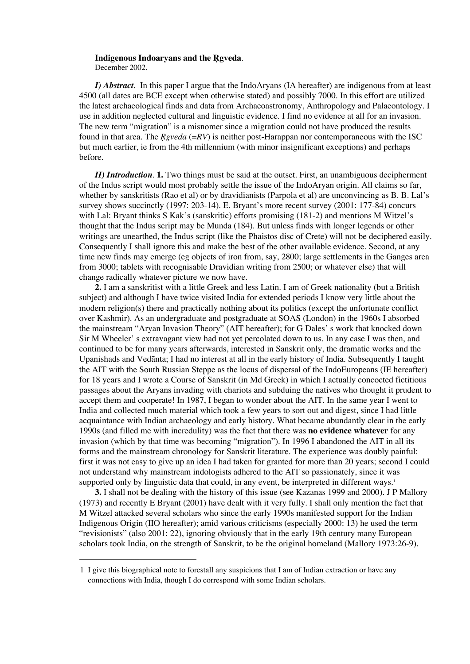# Indigenous Indoaryans and the Rgveda.

December 2002.

*I) Abstract*. In this paper I argue that the IndoAryans (IA hereafter) are indigenous from at least 4500 (all dates are BCE except when otherwise stated) and possibly 7000. In this effort are utilized the latest archaeological finds and data from Archaeoastronomy, Anthropology and Palaeontology. I use in addition neglected cultural and linguistic evidence. I find no evidence at all for an invasion. The new term "migration" is a misnomer since a migration could not have produced the results found in that area. The *R*®*gveda* (=*RV*) is neither post-Harappan nor contemporaneous with the ISC but much earlier, ie from the 4th millennium (with minor insignificant exceptions) and perhaps before.

*II) Introduction*. **1.** Two things must be said at the outset. First, an unambiguous decipherment of the Indus script would most probably settle the issue of the IndoAryan origin. All claims so far, whether by sanskritists (Rao et al) or by dravidianists (Parpola et al) are unconvincing as B. B. Lal's survey shows succinctly (1997: 203-14). E. Bryant's more recent survey (2001: 177-84) concurs with Lal: Bryant thinks S Kak's (sanskritic) efforts promising (181-2) and mentions M Witzel's thought that the Indus script may be Munda (184). But unless finds with longer legends or other writings are unearthed, the Indus script (like the Phaistos disc of Crete) will not be deciphered easily. Consequently I shall ignore this and make the best of the other available evidence. Second, at any time new finds may emerge (eg objects of iron from, say, 2800; large settlements in the Ganges area from 3000; tablets with recognisable Dravidian writing from 2500; or whatever else) that will change radically whatever picture we now have.

**2.** I am a sanskritist with a little Greek and less Latin. I am of Greek nationality (but a British subject) and although I have twice visited India for extended periods I know very little about the modern religion(s) there and practically nothing about its politics (except the unfortunate conflict over Kashmir). As an undergraduate and postgraduate at SOAS (London) in the 1960s I absorbed the mainstream "Aryan Invasion Theory" (AIT hereafter); for G Dales' s work that knocked down Sir M Wheeler' s extravagant view had not yet percolated down to us. In any case I was then, and continued to be for many years afterwards, interested in Sanskrit only, the dramatic works and the Upanishads and Vedānta; I had no interest at all in the early history of India. Subsequently I taught the AIT with the South Russian Steppe as the locus of dispersal of the IndoEuropeans (IE hereafter) for 18 years and I wrote a Course of Sanskrit (in Md Greek) in which I actually concocted fictitious passages about the Aryans invading with chariots and subduing the natives who thought it prudent to accept them and cooperate! In 1987, I began to wonder about the AIT. In the same year I went to India and collected much material which took a few years to sort out and digest, since I had little acquaintance with Indian archaeology and early history. What became abundantly clear in the early 1990s (and filled me with incredulity) was the fact that there was **no evidence whatever** for any invasion (which by that time was becoming "migration"). In 1996 I abandoned the AIT in all its forms and the mainstream chronology for Sanskrit literature. The experience was doubly painful: first it was not easy to give up an idea I had taken for granted for more than 20 years; second I could not understand why mainstream indologists adhered to the AIT so passionately, since it was supported only by linguistic data that could, in any event, be interpreted in different ways.<sup>1</sup>

**3.** I shall not be dealing with the history of this issue (see Kazanas 1999 and 2000). J P Mallory (1973) and recently E Bryant (2001) have dealt with it very fully. I shall only mention the fact that M Witzel attacked several scholars who since the early 1990s manifested support for the Indian Indigenous Origin (IIO hereafter); amid various criticisms (especially 2000: 13) he used the term "revisionists" (also 2001: 22), ignoring obviously that in the early 19th century many European scholars took India, on the strength of Sanskrit, to be the original homeland (Mallory 1973:26-9).

<sup>1</sup> I give this biographical note to forestall any suspicions that I am of Indian extraction or have any connections with India, though I do correspond with some Indian scholars.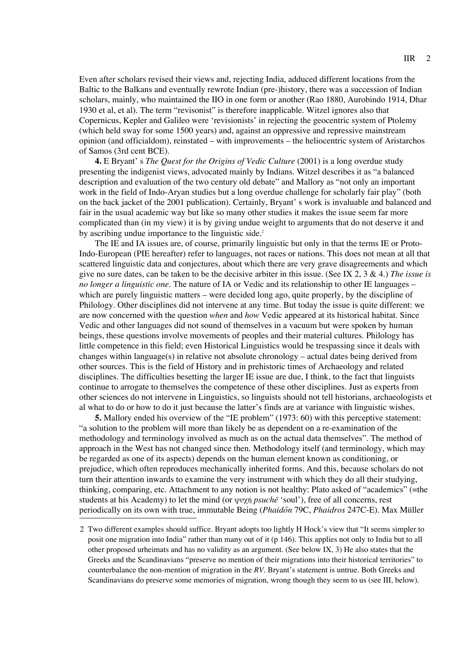Even after scholars revised their views and, rejecting India, adduced different locations from the Baltic to the Balkans and eventually rewrote Indian (pre-)history, there was a succession of Indian scholars, mainly, who maintained the IIO in one form or another (Rao 1880, Aurobindo 1914, Dhar 1930 et al, et al). The term "revisonist" is therefore inapplicable. Witzel ignores also that Copernicus, Kepler and Galileo were 'revisionists' in rejecting the geocentric system of Ptolemy (which held sway for some 1500 years) and, against an oppressive and repressive mainstream opinion (and officialdom), reinstated – with improvements – the heliocentric system of Aristarchos of Samos (3rd cent BCE).

**4.** E Bryant' s *The Quest for the Origins of Vedic Culture* (2001) is a long overdue study presenting the indigenist views, advocated mainly by Indians. Witzel describes it as "a balanced description and evaluation of the two century old debate" and Mallory as "not only an important work in the field of Indo-Aryan studies but a long overdue challenge for scholarly fair play" (both on the back jacket of the 2001 publication). Certainly, Bryant' s work is invaluable and balanced and fair in the usual academic way but like so many other studies it makes the issue seem far more complicated than (in my view) it is by giving undue weight to arguments that do not deserve it and by ascribing undue importance to the linguistic side.<sup>2</sup>

The IE and IA issues are, of course, primarily linguistic but only in that the terms IE or Proto-Indo-European (PIE hereafter) refer to languages, not races or nations. This does not mean at all that scattered linguistic data and conjectures, about which there are very grave disagreements and which give no sure dates, can be taken to be the decisive arbiter in this issue. (See IX 2, 3 & 4.) *The issue is no longer a linguistic one.* The nature of IA or Vedic and its relationship to other IE languages – which are purely linguistic matters – were decided long ago, quite properly, by the discipline of Philology. Other disciplines did not intervene at any time. But today the issue is quite different: we are now concerned with the question *when* and *how* Vedic appeared at its historical habitat. Since Vedic and other languages did not sound of themselves in a vacuum but were spoken by human beings, these questions involve movements of peoples and their material cultures. Philology has little competence in this field; even Historical Linguistics would be trespassing since it deals with changes within language(s) in relative not absolute chronology – actual dates being derived from other sources. This is the field of History and in prehistoric times of Archaeology and related disciplines. The difficulties besetting the larger IE issue are due, I think, to the fact that linguists continue to arrogate to themselves the competence of these other disciplines. Just as experts from other sciences do not intervene in Linguistics, so linguists should not tell historians, archaeologists et al what to do or how to do it just because the latter's finds are at variance with linguistic wishes.

**5.** Mallory ended his overview of the "IE problem" (1973: 60) with this perceptive statement: "a solution to the problem will more than likely be as dependent on a re-examination of the methodology and terminology involved as much as on the actual data themselves". The method of approach in the West has not changed since then. Methodology itself (and terminology, which may be regarded as one of its aspects) depends on the human element known as conditioning, or prejudice, which often reproduces mechanically inherited forms. And this, because scholars do not turn their attention inwards to examine the very instrument with which they do all their studying, thinking, comparing, etc. Attachment to any notion is not healthy: Plato asked of "academics" (=the students at his Academy) to let the mind (or ψυχή *psuche* 'soul'), free of all concerns, rest periodically on its own with true, immutable Being (*Phaido*a*n* 79C, *Phaidros* 247C-E). Max Müller

<sup>2</sup> Two different examples should suffice. Bryant adopts too lightly H Hock's view that "It seems simpler to posit one migration into India" rather than many out of it (p 146). This applies not only to India but to all other proposed urheimats and has no validity as an argument. (See below IX, 3) He also states that the Greeks and the Scandinavians "preserve no mention of their migrations into their historical territories" to counterbalance the non-mention of migration in the *RV*. Bryant's statement is untrue. Both Greeks and Scandinavians do preserve some memories of migration, wrong though they seem to us (see III, below).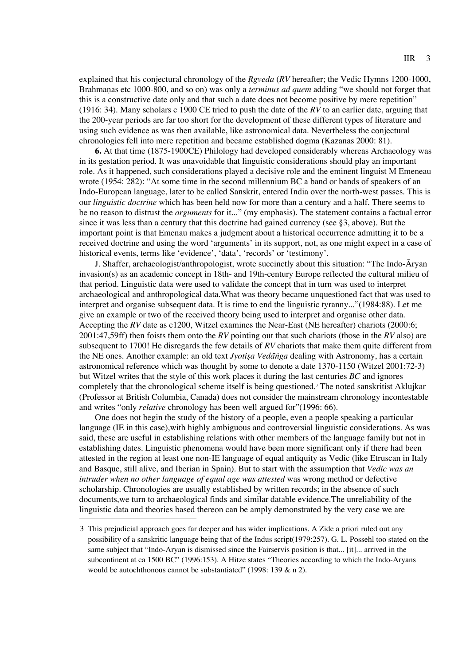explained that his conjectural chronology of the *R*®*gveda* (*RV* hereafter; the Vedic Hymns 1200-1000, Brāhmanas etc 1000-800, and so on) was only a *terminus ad quem* adding "we should not forget that this is a constructive date only and that such a date does not become positive by mere repetition" (1916: 34). Many scholars c 1900 CE tried to push the date of the *RV* to an earlier date, arguing that the 200-year periods are far too short for the development of these different types of literature and using such evidence as was then available, like astronomical data. Nevertheless the conjectural chronologies fell into mere repetition and became established dogma (Kazanas 2000: 81).

**6.** At that time (1875-1900CE) Philology had developed considerably whereas Archaeology was in its gestation period. It was unavoidable that linguistic considerations should play an important role. As it happened, such considerations played a decisive role and the eminent linguist M Emeneau wrote (1954: 282): "At some time in the second millennium BC a band or bands of speakers of an Indo-European language, later to be called Sanskrit, entered India over the north-west passes. This is our *linguistic doctrine* which has been held now for more than a century and a half. There seems to be no reason to distrust the *arguments* for it..." (my emphasis). The statement contains a factual error since it was less than a century that this doctrine had gained currency (see §3, above). But the important point is that Emenau makes a judgment about a historical occurrence admitting it to be a received doctrine and using the word 'arguments' in its support, not, as one might expect in a case of historical events, terms like 'evidence', 'data', 'records' or 'testimony'.

J. Shaffer, archaeologist/anthropologist, wrote succinctly about this situation: "The Indo-Aryan invasion(s) as an academic concept in 18th- and 19th-century Europe reflected the cultural milieu of that period. Linguistic data were used to validate the concept that in turn was used to interpret archaeological and anthropological data.What was theory became unquestioned fact that was used to interpret and organise subsequent data. It is time to end the linguistic tyranny..."(1984:88). Let me give an example or two of the received theory being used to interpret and organise other data. Accepting the *RV* date as c1200, Witzel examines the Near-East (NE hereafter) chariots (2000:6; 2001:47,59ff) then foists them onto the *RV* pointing out that such chariots (those in the *RV* also) are subsequent to 1700! He disregards the few details of *RV* chariots that make them quite different from the NE ones. Another example: an old text *Jyotisa Vedanga* dealing with Astronomy, has a certain astronomical reference which was thought by some to denote a date 1370-1150 (Witzel 2001:72-3) but Witzel writes that the style of this work places it during the last centuries *BC* and ignores completely that the chronological scheme itself is being questioned.<sup>3</sup> The noted sanskritist Aklujkar (Professor at British Columbia, Canada) does not consider the mainstream chronology incontestable and writes "only *relative* chronology has been well argued for"(1996: 66).

One does not begin the study of the history of a people, even a people speaking a particular language (IE in this case),with highly ambiguous and controversial linguistic considerations. As was said, these are useful in establishing relations with other members of the language family but not in establishing dates. Linguistic phenomena would have been more significant only if there had been attested in the region at least one non-IE language of equal antiquity as Vedic (like Etruscan in Italy and Basque, still alive, and Iberian in Spain). But to start with the assumption that *Vedic was an intruder when no other language of equal age was attested* was wrong method or defective scholarship. Chronologies are usually established by written records; in the absence of such documents,we turn to archaeological finds and similar datable evidence.The unreliability of the linguistic data and theories based thereon can be amply demonstrated by the very case we are

<sup>3</sup> This prejudicial approach goes far deeper and has wider implications. A Zide a priori ruled out any possibility of a sanskritic language being that of the Indus script(1979:257). G. L. Possehl too stated on the same subject that "Indo-Aryan is dismissed since the Fairservis position is that... [it]... arrived in the subcontinent at ca 1500 BC" (1996:153). A Hitze states "Theories according to which the Indo-Aryans would be autochthonous cannot be substantiated" (1998: 139 & n 2).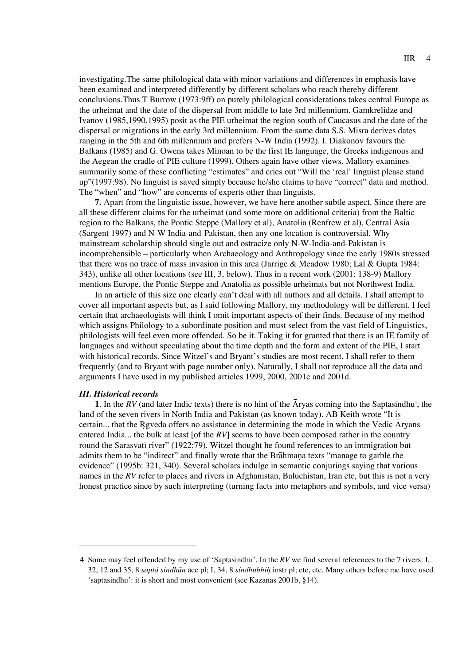investigating.The same philological data with minor variations and differences in emphasis have been examined and interpreted differently by different scholars who reach thereby different conclusions.Thus T Burrow (1973:9ff) on purely philological considerations takes central Europe as the urheimat and the date of the dispersal from middle to late 3rd millennium. Gamkrelidze and Ivanov (1985,1990,1995) posit as the PIE urheimat the region south of Caucasus and the date of the dispersal or migrations in the early 3rd millennium. From the same data S.S. Misra derives dates ranging in the 5th and 6th millennium and prefers N-W India (1992). I. Diakonov favours the Balkans (1985) and G. Owens takes Minoan to be the first IE language, the Greeks indigenous and the Aegean the cradle of PIE culture (1999). Others again have other views. Mallory examines summarily some of these conflicting "estimates" and cries out "Will the 'real' linguist please stand up"(1997:98). No linguist is saved simply because he/she claims to have "correct" data and method. The "when" and "how" are concerns of experts other than linguists.

**7.** Apart from the linguistic issue, however, we have here another subtle aspect. Since there are all these different claims for the urheimat (and some more on additional criteria) from the Baltic region to the Balkans, the Pontic Steppe (Mallory et al), Anatolia (Renfrew et al), Central Asia (Sargent 1997) and N-W India-and-Pakistan, then any one location is controversial. Why mainstream scholarship should single out and ostracize only N-W-India-and-Pakistan is incomprehensible – particularly when Archaeology and Anthropology since the early 1980s stressed that there was no trace of mass invasion in this area (Jarrige & Meadow 1980; Lal & Gupta 1984: 343), unlike all other locations (see III, 3, below). Thus in a recent work (2001: 138-9) Mallory mentions Europe, the Pontic Steppe and Anatolia as possible urheimats but not Northwest India.

In an article of this size one clearly can't deal with all authors and all details. I shall attempt to cover all important aspects but, as I said following Mallory, my methodology will be different. I feel certain that archaeologists will think I omit important aspects of their finds. Because of my method which assigns Philology to a subordinate position and must select from the vast field of Linguistics, philologists will feel even more offended. So be it. Taking it for granted that there is an IE family of languages and without speculating about the time depth and the form and extent of the PIE, I start with historical records. Since Witzel's and Bryant's studies are most recent, I shall refer to them frequently (and to Bryant with page number only). Naturally, I shall not reproduce all the data and arguments I have used in my published articles 1999, 2000, 2001c and 2001d.

## *III. Historical records*

**1**. In the RV (and later Indic texts) there is no hint of the  $\overline{A}$ ryas coming into the Saptasindhu<sup>4</sup>, the land of the seven rivers in North India and Pakistan (as known today). AB Keith wrote "It is certain... that the Rgveda offers no assistance in determining the mode in which the Vedic Aryans entered India... the bulk at least [of the *RV*] seems to have been composed rather in the country round the Sarasvati river" (1922:79). Witzel thought he found references to an immigration but admits them to be "indirect" and finally wrote that the Brahmana texts "manage to garble the evidence" (1995b: 321, 340). Several scholars indulge in semantic conjurings saying that various names in the *RV* refer to places and rivers in Afghanistan, Baluchistan, Iran etc, but this is not a very honest practice since by such interpreting (turning facts into metaphors and symbols, and vice versa)

<sup>4</sup> Some may feel offended by my use of 'Saptasindhu'. In the *RV* we find several references to the 7 rivers: I, 32, 12 and 35, 8 *saptá síndhūn* acc pl; I, 34, 8 *síndhubhih* instr pl; etc, etc. Many others before me have used 'saptasindhu': it is short and most convenient (see Kazanas 2001b, §14).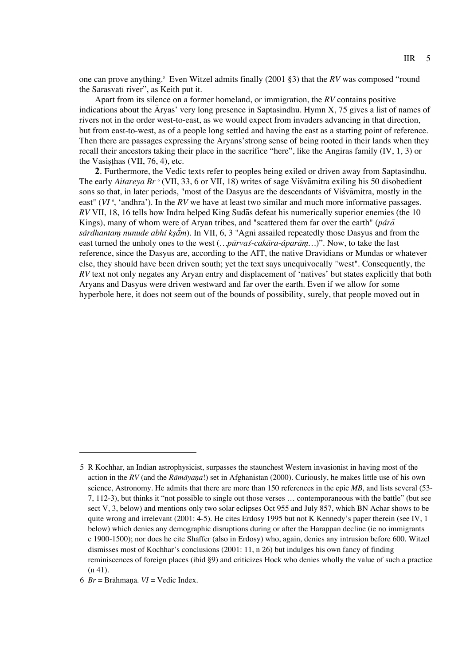one can prove anything.<sup>5</sup> Even Witzel admits finally (2001 §3) that the *RV* was composed "round the Sarasvati river", as Keith put it.

Apart from its silence on a former homeland, or immigration, the *RV* contains positive indications about the  $\overline{A}$ ryas' very long presence in Saptasindhu. Hymn X, 75 gives a list of names of rivers not in the order west-to-east, as we would expect from invaders advancing in that direction, but from east-to-west, as of a people long settled and having the east as a starting point of reference. Then there are passages expressing the Aryans'strong sense of being rooted in their lands when they recall their ancestors taking their place in the sacrifice "here", like the Angiras family (IV, 1, 3) or the Vasisthas (VII,  $76, 4$ ), etc.

**2**. Furthermore, the Vedic texts refer to peoples being exiled or driven away from Saptasindhu. The early Aitareya Br<sup>6</sup> (VII, 33, 6 or VII, 18) writes of sage Visvamitra exiling his 50 disobedient sons so that, in later periods, "most of the Dasyus are the descendants of Visvamitra, mostly in the east" (*VI*<sup>6</sup>, 'andhra'). In the *RV* we have at least two similar and much more informative passages. *RV* VII, 18, 16 tells how Indra helped King Sudas defeat his numerically superior enemies (the 10 Kings), many of whom were of Aryan tribes, and "scattered them far over the earth" (*pára*<sup>a</sup> *sárdhantam nunude abhí kṣām*). In VII, 6, 3 "Agni assailed repeatedly those Dasyus and from the east turned the unholy ones to the west (*…pūrvas-cakāra-áparām...*)". Now, to take the last reference, since the Dasyus are, according to the AIT, the native Dravidians or Mundas or whatever else, they should have been driven south; yet the text says unequivocally "west". Consequently, the *RV* text not only negates any Aryan entry and displacement of 'natives' but states explicitly that both Aryans and Dasyus were driven westward and far over the earth. Even if we allow for some hyperbole here, it does not seem out of the bounds of possibility, surely, that people moved out in

<sup>5</sup> R Kochhar, an Indian astrophysicist, surpasses the staunchest Western invasionist in having most of the action in the *RV* (and the *Ramavana*!) set in Afghanistan (2000). Curiously, he makes little use of his own science, Astronomy. He admits that there are more than 150 references in the epic *MB*, and lists several (53-7, 112-3), but thinks it "not possible to single out those verses … contemporaneous with the battle" (but see sect V, 3, below) and mentions only two solar eclipses Oct 955 and July 857, which BN Achar shows to be quite wrong and irrelevant (2001: 4-5). He cites Erdosy 1995 but not K Kennedy's paper therein (see IV, 1 below) which denies any demographic disruptions during or after the Harappan decline (ie no immigrants c 1900-1500); nor does he cite Shaffer (also in Erdosy) who, again, denies any intrusion before 600. Witzel dismisses most of Kochhar's conclusions (2001: 11, n 26) but indulges his own fancy of finding reminiscences of foreign places (ibid §9) and criticizes Hock who denies wholly the value of such a practice (n 41).

<sup>6</sup>  $Br = Br\bar{a}h$ mana.  $VI = V$ edic Index.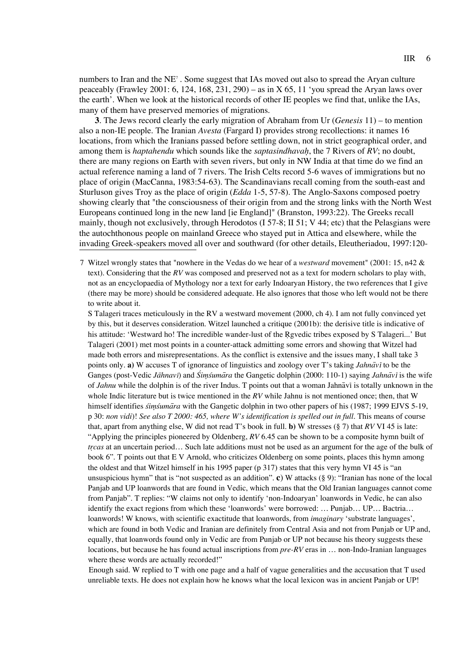numbers to Iran and the  $NE^7$ . Some suggest that IAs moved out also to spread the Aryan culture peaceably (Frawley 2001: 6, 124, 168, 231, 290) – as in X 65, 11 'you spread the Aryan laws over the earth'. When we look at the historical records of other IE peoples we find that, unlike the IAs, many of them have preserved memories of migrations.

**3**. The Jews record clearly the early migration of Abraham from Ur (*Genesis* 11) – to mention also a non-IE people. The Iranian *Avesta* (Fargard I) provides strong recollections: it names 16 locations, from which the Iranians passed before settling down, not in strict geographical order, and among them is *haptahendu* which sounds like the *saptasindhavah*, the 7 Rivers of RV; no doubt, there are many regions on Earth with seven rivers, but only in NW India at that time do we find an actual reference naming a land of 7 rivers. The Irish Celts record 5-6 waves of immigrations but no place of origin (MacCanna, 1983:54-63). The Scandinavians recall coming from the south-east and Sturluson gives Troy as the place of origin (*Edda* 1-5, 57-8). The Anglo-Saxons composed poetry showing clearly that "the consciousness of their origin from and the strong links with the North West Europeans continued long in the new land [ie England]" (Branston, 1993:22). The Greeks recall mainly, though not exclusively, through Herodotos (I 57-8; II 51; V 44; etc) that the Pelasgians were the autochthonous people on mainland Greece who stayed put in Attica and elsewhere, while the invading Greek-speakers moved all over and southward (for other details, Eleutheriadou, 1997:120-

S Talageri traces meticulously in the RV a westward movement (2000, ch 4). I am not fully convinced yet by this, but it deserves consideration. Witzel launched a critique (2001b): the derisive title is indicative of his attitude: 'Westward ho! The incredible wander-lust of the Rgvedic tribes exposed by S Talageri...' But Talageri (2001) met most points in a counter-attack admitting some errors and showing that Witzel had made both errors and misrepresentations. As the conflict is extensive and the issues many, I shall take 3 points only. **a**) W accuses T of ignorance of linguistics and zoology over T's taking *Jahnavi* to be the Ganges (post-Vedic *Jāhnavī*) and *Śimśumāra* the Gangetic dolphin (2000: 110-1) saying *Jahnāvī* is the wife of *Jahnu* while the dolphin is of the river Indus. T points out that a woman Jahnaavi is totally unknown in the whole Indic literature but is twice mentioned in the *RV* while Jahnu is not mentioned once; then, that W himself identifies *simsumara* with the Gangetic dolphin in two other papers of his (1987; 1999 EJVS 5-19, p 30: *non vidi*)! *See also T 2000: 465, where W's identification is spelled out in full*. This means of course that, apart from anything else, W did not read T's book in full. **b)** W stresses (§ 7) that *RV* VI 45 is late: "Applying the principles pioneered by Oldenberg, *RV* 6.45 can be shown to be a composite hymn built of *tr*r*cas* at an uncertain period… Such late additions must not be used as an argument for the age of the bulk of book 6". T points out that E V Arnold, who criticizes Oldenberg on some points, places this hymn among the oldest and that Witzel himself in his 1995 paper (p 317) states that this very hymn VI 45 is "an unsuspicious hymn" that is "not suspected as an addition". **c**) W attacks (§ 9): "Iranian has none of the local Panjab and UP loanwords that are found in Vedic, which means that the Old Iranian languages cannot come from Panjab". T replies: "W claims not only to identify 'non-Indoaryan' loanwords in Vedic, he can also identify the exact regions from which these 'loanwords' were borrowed: … Punjab… UP… Bactria… loanwords! W knows, with scientific exactitude that loanwords, from *imaginary* 'substrate languages', which are found in both Vedic and Iranian are definitely from Central Asia and not from Punjab or UP and, equally, that loanwords found only in Vedic are from Punjab or UP not because his theory suggests these locations, but because he has found actual inscriptions from *pre-RV* eras in … non-Indo-Iranian languages where these words are actually recorded!"

Enough said. W replied to T with one page and a half of vague generalities and the accusation that T used unreliable texts. He does not explain how he knows what the local lexicon was in ancient Panjab or UP!

<sup>7</sup> Witzel wrongly states that "nowhere in the Vedas do we hear of a *westward* movement" (2001: 15, n42 & text). Considering that the *RV* was composed and preserved not as a text for modern scholars to play with, not as an encyclopaedia of Mythology nor a text for early Indoaryan History, the two references that I give (there may be more) should be considered adequate. He also ignores that those who left would not be there to write about it.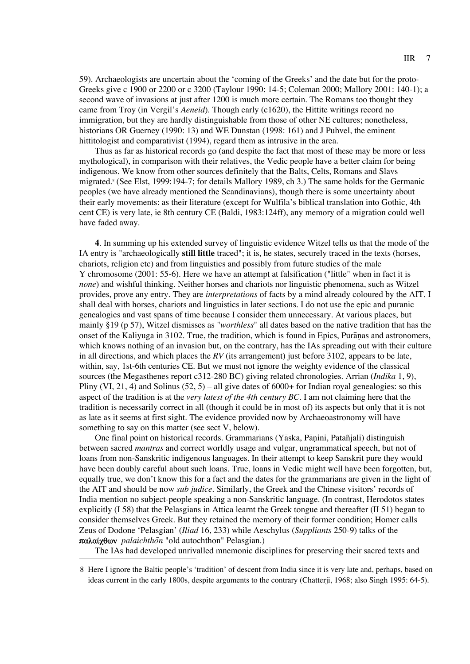59). Archaeologists are uncertain about the 'coming of the Greeks' and the date but for the proto-Greeks give c 1900 or 2200 or c 3200 (Taylour 1990: 14-5; Coleman 2000; Mallory 2001: 140-1); a second wave of invasions at just after 1200 is much more certain. The Romans too thought they came from Troy (in Vergil's *Aeneid*). Though early (c1620), the Hittite writings record no immigration, but they are hardly distinguishable from those of other NE cultures; nonetheless, historians OR Guerney (1990: 13) and WE Dunstan (1998: 161) and J Puhvel, the eminent hittitologist and comparativist (1994), regard them as intrusive in the area.

Thus as far as historical records go (and despite the fact that most of these may be more or less mythological), in comparison with their relatives, the Vedic people have a better claim for being indigenous. We know from other sources definitely that the Balts, Celts, Romans and Slavs migrated.8 (See Elst, 1999:194-7; for details Mallory 1989, ch 3.) The same holds for the Germanic peoples (we have already mentioned the Scandinavians), though there is some uncertainty about their early movements: as their literature (except for Wulfila's biblical translation into Gothic, 4th cent CE) is very late, ie 8th century CE (Baldi, 1983:124ff), any memory of a migration could well have faded away.

**4**. In summing up his extended survey of linguistic evidence Witzel tells us that the mode of the IA entry is "archaeologically **still little** traced"; it is, he states, securely traced in the texts (horses, chariots, religion etc) and from linguistics and possibly from future studies of the male Y chromosome (2001: 55-6). Here we have an attempt at falsification ("little" when in fact it is *none*) and wishful thinking. Neither horses and chariots nor linguistic phenomena, such as Witzel provides, prove any entry. They are *interpretations* of facts by a mind already coloured by the AIT. I shall deal with horses, chariots and linguistics in later sections. I do not use the epic and puranic genealogies and vast spans of time because I consider them unnecessary. At various places, but mainly §19 (p 57), Witzel dismisses as "*worthless*" all dates based on the native tradition that has the onset of the Kaliyuga in 3102. True, the tradition, which is found in Epics, Puranas and astronomers, which knows nothing of an invasion but, on the contrary, has the IAs spreading out with their culture in all directions, and which places the *RV* (its arrangement) just before 3102, appears to be late, within, say, 1st-6th centuries CE. But we must not ignore the weighty evidence of the classical sources (the Megasthenes report c312-280 BC) giving related chronologies. Arrian (*Indika* 1, 9), Pliny (VI, 21, 4) and Solinus  $(52, 5)$  – all give dates of 6000+ for Indian royal genealogies: so this aspect of the tradition is at the *very latest of the 4th century BC*. I am not claiming here that the tradition is necessarily correct in all (though it could be in most of) its aspects but only that it is not as late as it seems at first sight. The evidence provided now by Archaeoastronomy will have something to say on this matter (see sect V, below).

One final point on historical records. Grammarians (Yāska, Pāṇini, Patañjali) distinguish between sacred *mantras* and correct worldly usage and vulgar, ungrammatical speech, but not of loans from non-Sanskritic indigenous languages. In their attempt to keep Sanskrit pure they would have been doubly careful about such loans. True, loans in Vedic might well have been forgotten, but, equally true, we don't know this for a fact and the dates for the grammarians are given in the light of the AIT and should be now *sub judice*. Similarly, the Greek and the Chinese visitors' records of India mention no subject-people speaking a non-Sanskritic language. (In contrast, Herodotos states explicitly (I 58) that the Pelasgians in Attica learnt the Greek tongue and thereafter (II 51) began to consider themselves Greek. But they retained the memory of their former condition; Homer calls Zeus of Dodone 'Pelasgian' (*Iliad* 16, 233) while Aeschylus (*Suppliants* 250-9) talks of the  $παλαίχθων$  *palaichthon* "old autochthon" Pelasgian.)

The IAs had developed unrivalled mnemonic disciplines for preserving their sacred texts and

<sup>8</sup> Here I ignore the Baltic people's 'tradition' of descent from India since it is very late and, perhaps, based on ideas current in the early 1800s, despite arguments to the contrary (Chatterji, 1968; also Singh 1995: 64-5).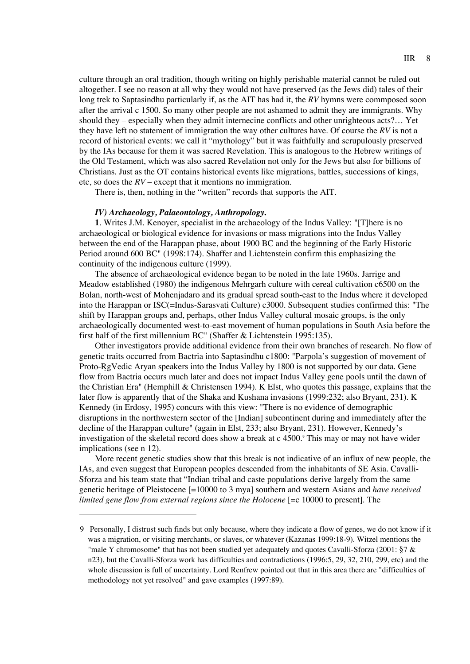culture through an oral tradition, though writing on highly perishable material cannot be ruled out altogether. I see no reason at all why they would not have preserved (as the Jews did) tales of their long trek to Saptasindhu particularly if, as the AIT has had it, the *RV* hymns were commposed soon after the arrival c 1500. So many other people are not ashamed to admit they are immigrants. Why should they – especially when they admit internecine conflicts and other unrighteous acts?… Yet they have left no statement of immigration the way other cultures have. Of course the *RV* is not a record of historical events: we call it "mythology" but it was faithfully and scrupulously preserved by the IAs because for them it was sacred Revelation. This is analogous to the Hebrew writings of the Old Testament, which was also sacred Revelation not only for the Jews but also for billions of Christians. Just as the OT contains historical events like migrations, battles, successions of kings, etc, so does the *RV* – except that it mentions no immigration.

There is, then, nothing in the "written" records that supports the AIT.

# *IV) Archaeology, Palaeontology, Anthropology***.**

**1**. Writes J.M. Kenoyer, specialist in the archaeology of the Indus Valley: "[T]here is no archaeological or biological evidence for invasions or mass migrations into the Indus Valley between the end of the Harappan phase, about 1900 BC and the beginning of the Early Historic Period around 600 BC" (1998:174). Shaffer and Lichtenstein confirm this emphasizing the continuity of the indigenous culture (1999).

The absence of archaeological evidence began to be noted in the late 1960s. Jarrige and Meadow established (1980) the indigenous Mehrgarh culture with cereal cultivation c6500 on the Bolan, north-west of Mohenjadaro and its gradual spread south-east to the Indus where it developed into the Harappan or ISC(=Indus-Sarasvati Culture) c3000. Subsequent studies confirmed this: "The shift by Harappan groups and, perhaps, other Indus Valley cultural mosaic groups, is the only archaeologically documented west-to-east movement of human populations in South Asia before the first half of the first millennium BC" (Shaffer & Lichtenstein 1995:135).

Other investigators provide additional evidence from their own branches of research. No flow of genetic traits occurred from Bactria into Saptasindhu c1800: "Parpola's suggestion of movement of Proto-RgVedic Aryan speakers into the Indus Valley by 1800 is not supported by our data. Gene flow from Bactria occurs much later and does not impact Indus Valley gene pools until the dawn of the Christian Era" (Hemphill & Christensen 1994). K Elst, who quotes this passage, explains that the later flow is apparently that of the Shaka and Kushana invasions (1999:232; also Bryant, 231). K Kennedy (in Erdosy, 1995) concurs with this view: "There is no evidence of demographic disruptions in the northwestern sector of the [Indian] subcontinent during and immediately after the decline of the Harappan culture" (again in Elst, 233; also Bryant, 231). However, Kennedy's investigation of the skeletal record does show a break at c 4500.<sup>9</sup> This may or may not have wider implications (see n 12).

More recent genetic studies show that this break is not indicative of an influx of new people, the IAs, and even suggest that European peoples descended from the inhabitants of SE Asia. Cavalli-Sforza and his team state that "Indian tribal and caste populations derive largely from the same genetic heritage of Pleistocene [=10000 to 3 mya] southern and western Asians and *have received limited gene flow from external regions since the Holocene* [=c 10000 to present]. The

<sup>9</sup> Personally, I distrust such finds but only because, where they indicate a flow of genes, we do not know if it was a migration, or visiting merchants, or slaves, or whatever (Kazanas 1999:18-9). Witzel mentions the "male Y chromosome" that has not been studied yet adequately and quotes Cavalli-Sforza (2001: §7 & n23), but the Cavalli-Sforza work has difficulties and contradictions (1996:5, 29, 32, 210, 299, etc) and the whole discussion is full of uncertainty. Lord Renfrew pointed out that in this area there are "difficulties of methodology not yet resolved" and gave examples (1997:89).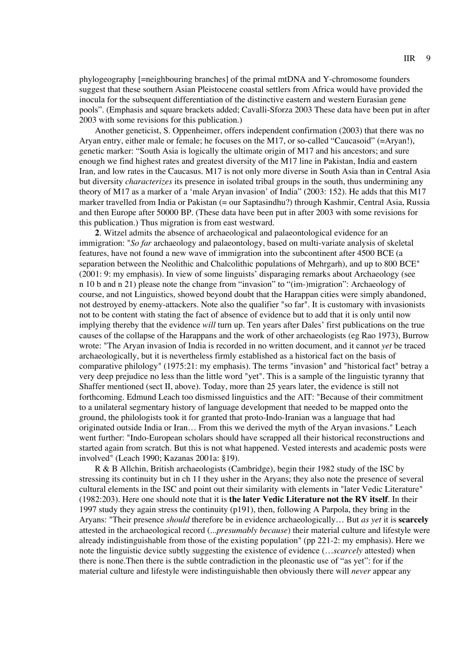phylogeography [=neighbouring branches] of the primal mtDNA and Y-chromosome founders suggest that these southern Asian Pleistocene coastal settlers from Africa would have provided the inocula for the subsequent differentiation of the distinctive eastern and western Eurasian gene pools". (Emphasis and square brackets added; Cavalli-Sforza 2003 These data have been put in after 2003 with some revisions for this publication.)

Another geneticist, S. Oppenheimer, offers independent confirmation (2003) that there was no Aryan entry, either male or female; he focuses on the M17, or so-called "Caucasoid" (=Aryan!), genetic marker: "South Asia is logically the ultimate origin of M17 and his ancestors; and sure enough we find highest rates and greatest diversity of the M17 line in Pakistan, India and eastern Iran, and low rates in the Caucasus. M17 is not only more diverse in South Asia than in Central Asia but diversity *characterizes* its presence in isolated tribal groups in the south, thus undermining any theory of M17 as a marker of a 'male Aryan invasion' of India" (2003: 152). He adds that this M17 marker travelled from India or Pakistan (= our Saptasindhu?) through Kashmir, Central Asia, Russia and then Europe after 50000 BP. (These data have been put in after 2003 with some revisions for this publication.) Thus migration is from east westward.

**2**. Witzel admits the absence of archaeological and palaeontological evidence for an immigration: "*So far* archaeology and palaeontology, based on multi-variate analysis of skeletal features, have not found a new wave of immigration into the subcontinent after 4500 BCE (a separation between the Neolithic and Chalcolithic populations of Mehrgarh), and up to 800 BCE" (2001: 9: my emphasis). In view of some linguists' disparaging remarks about Archaeology (see n 10 b and n 21) please note the change from "invasion" to "(im-)migration": Archaeology of course, and not Linguistics, showed beyond doubt that the Harappan cities were simply abandoned, not destroyed by enemy-attackers. Note also the qualifier "so far". It is customary with invasionists not to be content with stating the fact of absence of evidence but to add that it is only until now implying thereby that the evidence *will* turn up. Ten years after Dales' first publications on the true causes of the collapse of the Harappans and the work of other archaeologists (eg Rao 1973), Burrow wrote: "The Aryan invasion of India is recorded in no written document, and it cannot *yet* be traced archaeologically, but it is nevertheless firmly established as a historical fact on the basis of comparative philology" (1975:21: my emphasis). The terms "invasion" and "historical fact" betray a very deep prejudice no less than the little word "yet". This is a sample of the linguistic tyranny that Shaffer mentioned (sect II, above). Today, more than 25 years later, the evidence is still not forthcoming. Edmund Leach too dismissed linguistics and the AIT: "Because of their commitment to a unilateral segmentary history of language development that needed to be mapped onto the ground, the philologists took it for granted that proto-Indo-Iranian was a language that had originated outside India or Iran… From this we derived the myth of the Aryan invasions." Leach went further: "Indo-European scholars should have scrapped all their historical reconstructions and started again from scratch. But this is not what happened. Vested interests and academic posts were involved" (Leach 1990; Kazanas 2001a: §19).

R & B Allchin, British archaeologists (Cambridge), begin their 1982 study of the ISC by stressing its continuity but in ch 11 they usher in the Aryans; they also note the presence of several cultural elements in the ISC and point out their similarity with elements in "later Vedic Literature" (1982:203). Here one should note that it is **the later Vedic Literature not the RV itself**. In their 1997 study they again stress the continuity (p191), then, following A Parpola, they bring in the Aryans: "Their presence *should* therefore be in evidence archaeologically… But *as yet* it is **scarcely** attested in the archaeological record (...*presumably because*) their material culture and lifestyle were already indistinguishable from those of the existing population" (pp 221-2: my emphasis). Here we note the linguistic device subtly suggesting the existence of evidence (…*scarcely* attested) when there is none.Then there is the subtle contradiction in the pleonastic use of "as yet": for if the material culture and lifestyle were indistinguishable then obviously there will *never* appear any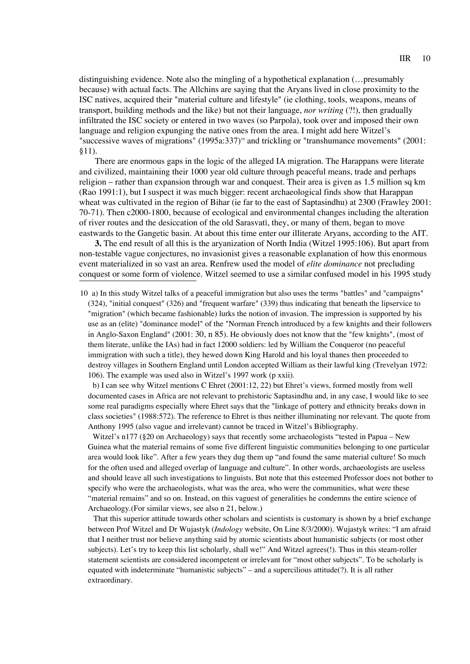distinguishing evidence. Note also the mingling of a hypothetical explanation (…presumably because) with actual facts. The Allchins are saying that the Aryans lived in close proximity to the ISC natives, acquired their "material culture and lifestyle" (ie clothing, tools, weapons, means of transport, building methods and the like) but not their language, *nor writing* (?!), then gradually infiltrated the ISC society or entered in two waves (so Parpola), took over and imposed their own language and religion expunging the native ones from the area. I might add here Witzel's "successive waves of migrations"  $(1995a:337)^{10}$  and trickling or "transhumance movements"  $(2001:$ §11).

There are enormous gaps in the logic of the alleged IA migration. The Harappans were literate and civilized, maintaining their 1000 year old culture through peaceful means, trade and perhaps religion – rather than expansion through war and conquest. Their area is given as 1.5 million sq km (Rao 1991:1), but I suspect it was much bigger: recent archaeological finds show that Harappan wheat was cultivated in the region of Bihar (ie far to the east of Saptasindhu) at 2300 (Frawley 2001: 70-71). Then c2000-1800, because of ecological and environmental changes including the alteration of river routes and the desiccation of the old Sarasvati, they, or many of them, began to move eastwards to the Gangetic basin. At about this time enter our illiterate Aryans, according to the AIT.

**3.** The end result of all this is the aryanization of North India (Witzel 1995:106). But apart from non-testable vague conjectures, no invasionist gives a reasonable explanation of how this enormous event materialized in so vast an area. Renfrew used the model of *elite dominance* not precluding conquest or some form of violence. Witzel seemed to use a similar confused model in his 1995 study

10 a) In this study Witzel talks of a peaceful immigration but also uses the terms "battles" and "campaigns" (324), "initial conquest" (326) and "frequent warfare" (339) thus indicating that beneath the lipservice to "migration" (which became fashionable) lurks the notion of invasion. The impression is supported by his use as an (elite) "dominance model" of the "Norman French introduced by a few knights and their followers in Anglo-Saxon England" (2001: 30, n 85). He obviously does not know that the "few knights", (most of them literate, unlike the IAs) had in fact 12000 soldiers: led by William the Conqueror (no peaceful immigration with such a title), they hewed down King Harold and his loyal thanes then proceeded to destroy villages in Southern England until London accepted William as their lawful king (Trevelyan 1972: 106). The example was used also in Witzel's 1997 work (p xxii).

b) I can see why Witzel mentions C Ehret (2001:12, 22) but Ehret's views, formed mostly from well documented cases in Africa are not relevant to prehistoric Saptasindhu and, in any case, I would like to see some real paradigms especially where Ehret says that the "linkage of pottery and ethnicity breaks down in class societies" (1988:572). The reference to Ehret is thus neither illuminating nor relevant. The quote from Anthony 1995 (also vague and irrelevant) cannot be traced in Witzel's Bibliography.

Witzel's n177 (§20 on Archaeology) says that recently some archaeologists "tested in Papua – New Guinea what the material remains of some five different linguistic communities belonging to one particular area would look like". After a few years they dug them up "and found the same material culture! So much for the often used and alleged overlap of language and culture". In other words, archaeologists are useless and should leave all such investigations to linguists. But note that this esteemed Professor does not bother to specify who were the archaeologists, what was the area, who were the communities, what were these "material remains" and so on. Instead, on this vaguest of generalities he condemns the entire science of Archaeology.(For similar views, see also n 21, below.)

That this superior attitude towards other scholars and scientists is customary is shown by a brief exchange between Prof Witzel and Dr Wujastyk (*Indology* website, On Line 8/3/2000). Wujastyk writes: "I am afraid that I neither trust nor believe anything said by atomic scientists about humanistic subjects (or most other subjects). Let's try to keep this list scholarly, shall we!" And Witzel agrees(!). Thus in this steam-roller statement scientists are considered incompetent or irrelevant for "most other subjects". To be scholarly is equated with indeterminate "humanistic subjects" – and a supercilious attitude(?). It is all rather extraordinary.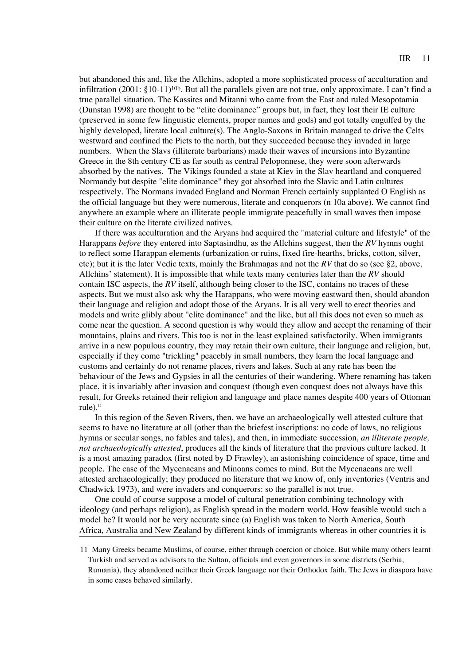but abandoned this and, like the Allchins, adopted a more sophisticated process of acculturation and infiltration (2001: §10-11)10b. But all the parallels given are not true, only approximate. I can't find a true parallel situation. The Kassites and Mitanni who came from the East and ruled Mesopotamia (Dunstan 1998) are thought to be "elite dominance" groups but, in fact, they lost their IE culture (preserved in some few linguistic elements, proper names and gods) and got totally engulfed by the highly developed, literate local culture(s). The Anglo-Saxons in Britain managed to drive the Celts westward and confined the Picts to the north, but they succeeded because they invaded in large numbers. When the Slavs (illiterate barbarians) made their waves of incursions into Byzantine Greece in the 8th century CE as far south as central Peloponnese, they were soon afterwards absorbed by the natives. The Vikings founded a state at Kiev in the Slav heartland and conquered Normandy but despite "elite dominance" they got absorbed into the Slavic and Latin cultures respectively. The Normans invaded England and Norman French certainly supplanted O English as the official language but they were numerous, literate and conquerors (n 10a above). We cannot find anywhere an example where an illiterate people immigrate peacefully in small waves then impose their culture on the literate civilized natives.

If there was acculturation and the Aryans had acquired the "material culture and lifestyle" of the Harappans *before* they entered into Saptasindhu, as the Allchins suggest, then the *RV* hymns ought to reflect some Harappan elements (urbanization or ruins, fixed fire-hearths, bricks, cotton, silver, etc); but it is the later Vedic texts, mainly the Brahmanas and not the  $RV$  that do so (see §2, above, Allchins' statement). It is impossible that while texts many centuries later than the *RV* should contain ISC aspects, the *RV* itself, although being closer to the ISC, contains no traces of these aspects. But we must also ask why the Harappans, who were moving eastward then, should abandon their language and religion and adopt those of the Aryans. It is all very well to erect theories and models and write glibly about "elite dominance" and the like, but all this does not even so much as come near the question. A second question is why would they allow and accept the renaming of their mountains, plains and rivers. This too is not in the least explained satisfactorily. When immigrants arrive in a new populous country, they may retain their own culture, their language and religion, but, especially if they come "trickling" peacebly in small numbers, they learn the local language and customs and certainly do not rename places, rivers and lakes. Such at any rate has been the behaviour of the Jews and Gypsies in all the centuries of their wandering. Where renaming has taken place, it is invariably after invasion and conquest (though even conquest does not always have this result, for Greeks retained their religion and language and place names despite 400 years of Ottoman rule). $<sup>11</sup>$ </sup>

In this region of the Seven Rivers, then, we have an archaeologically well attested culture that seems to have no literature at all (other than the briefest inscriptions: no code of laws, no religious hymns or secular songs, no fables and tales), and then, in immediate succession, *an illiterate people, not archaeologically attested*, produces all the kinds of literature that the previous culture lacked. It is a most amazing paradox (first noted by D Frawley), an astonishing coincidence of space, time and people. The case of the Mycenaeans and Minoans comes to mind. But the Mycenaeans are well attested archaeologically; they produced no literature that we know of, only inventories (Ventris and Chadwick 1973), and were invaders and conquerors: so the parallel is not true.

One could of course suppose a model of cultural penetration combining technology with ideology (and perhaps religion), as English spread in the modern world. How feasible would such a model be? It would not be very accurate since (a) English was taken to North America, South Africa, Australia and New Zealand by different kinds of immigrants whereas in other countries it is

<sup>11</sup> Many Greeks became Muslims, of course, either through coercion or choice. But while many others learnt Turkish and served as advisors to the Sultan, officials and even governors in some districts (Serbia, Rumania), they abandoned neither their Greek language nor their Orthodox faith. The Jews in diaspora have in some cases behaved similarly.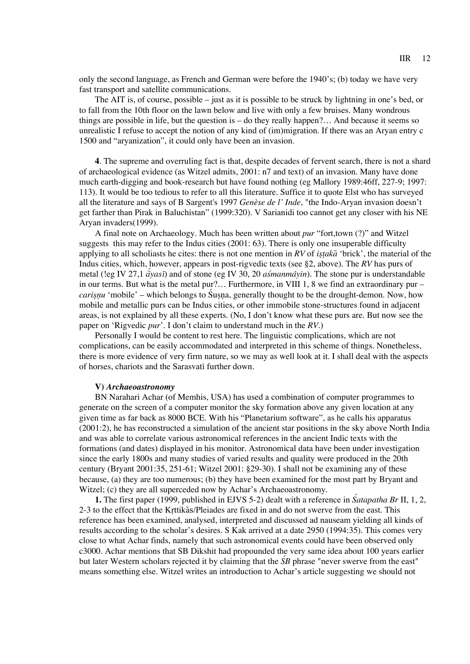only the second language, as French and German were before the 1940's; (b) today we have very fast transport and satellite communications.

The AIT is, of course, possible – just as it is possible to be struck by lightning in one's bed, or to fall from the 10th floor on the lawn below and live with only a few bruises. Many wondrous things are possible in life, but the question is – do they really happen?… And because it seems so unrealistic I refuse to accept the notion of any kind of (im)migration. If there was an Aryan entry c 1500 and "aryanization", it could only have been an invasion.

**4**. The supreme and overruling fact is that, despite decades of fervent search, there is not a shard of archaeological evidence (as Witzel admits, 2001: n7 and text) of an invasion. Many have done much earth-digging and book-research but have found nothing (eg Mallory 1989:46ff, 227-9; 1997: 113). It would be too tedious to refer to all this literature. Suffice it to quote Elst who has surveyed all the literature and says of B Sargent's 1997 *Genèse de l' Inde*, "the Indo-Aryan invasion doesn't get farther than Pirak in Baluchistan" (1999:320). V Sarianidi too cannot get any closer with his NE Aryan invaders(1999).

A final note on Archaeology. Much has been written about *pur* "fort,town (?)" and Witzel suggests this may refer to the Indus cities (2001: 63). There is only one insuperable difficulty applying to all scholiasts he cites: there is not one mention in  $RV$  of *istaka* 'brick', the material of the Indus cities, which, however, appears in post-rigvedic texts (see §2, above). The *RV* has purs of metal (!eg IV 27,1  $\tilde{a}$ *yasi*) and of stone (eg IV 30, 20 *asmanmáyin*). The stone pur is understandable in our terms. But what is the metal pur?… Furthermore, in VIII 1, 8 we find an extraordinary pur – *carisnu* 'mobile' – which belongs to Susna, generally thought to be the drought-demon. Now, how mobile and metallic purs can be Indus cities, or other immobile stone-structures found in adjacent areas, is not explained by all these experts. (No, I don't know what these purs are. But now see the paper on 'Rigvedic *pur*'. I don't claim to understand much in the *RV*.)

Personally I would be content to rest here. The linguistic complications, which are not complications, can be easily accommodated and interpreted in this scheme of things. Nonetheless, there is more evidence of very firm nature, so we may as well look at it. I shall deal with the aspects of horses, chariots and the Sarasvati further down.

#### **V)** *Archaeoastronomy*

BN Narahari Achar (of Memhis, USA) has used a combination of computer programmes to generate on the screen of a computer monitor the sky formation above any given location at any given time as far back as 8000 BCE. With his "Planetarium software", as he calls his apparatus (2001:2), he has reconstructed a simulation of the ancient star positions in the sky above North India and was able to correlate various astronomical references in the ancient Indic texts with the formations (and dates) displayed in his monitor. Astronomical data have been under investigation since the early 1800s and many studies of varied results and quality were produced in the 20th century (Bryant 2001:35, 251-61; Witzel 2001: §29-30). I shall not be examining any of these because, (a) they are too numerous; (b) they have been examined for the most part by Bryant and Witzel; (c) they are all superceded now by Achar's Archaeoastronomy.

**1.** The first paper (1999, published in EJVS 5-2) dealt with a reference in *Satapatha Br* II, 1, 2, 2-3 to the effect that the Krrttikaas/Pleiades are fixed in and do not swerve from the east. This reference has been examined, analysed, interpreted and discussed ad nauseam yielding all kinds of results according to the scholar's desires. S Kak arrived at a date 2950 (1994:35). This comes very close to what Achar finds, namely that such astronomical events could have been observed only c3000. Achar mentions that SB Dikshit had propounded the very same idea about 100 years earlier but later Western scholars rejected it by claiming that the *S*<sup>Z</sup>*B* phrase "never swerve from the east" means something else. Witzel writes an introduction to Achar's article suggesting we should not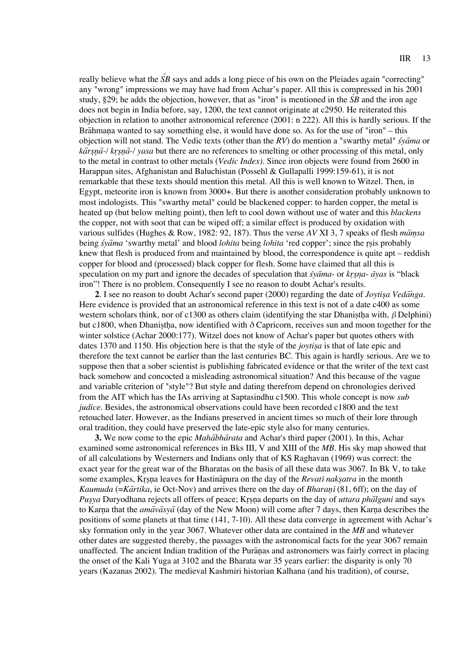really believe what the  $\tilde{S}B$  says and adds a long piece of his own on the Pleiades again "correcting" any "wrong" impressions we may have had from Achar's paper. All this is compressed in his 2001 study, §29; he adds the objection, however, that as "iron" is mentioned in the  $\overline{SB}$  and the iron age does not begin in India before, say, 1200, the text cannot originate at c2950. He reiterated this objection in relation to another astronomical reference (2001: n 222). All this is hardly serious. If the Brāhmana wanted to say something else, it would have done so. As for the use of "iron" – this objection will not stand. The Vedic texts (other than the *RV*) do mention a "swarthy metal" *śyama* or *kārsņā-/ krsņā-/ yasa* but there are no references to smelting or other processing of this metal, only to the metal in contrast to other metals (*Vedic Index)*. Since iron objects were found from 2600 in Harappan sites, Afghanistan and Baluchistan (Possehl & Gullapalli 1999:159-61), it is not remarkable that these texts should mention this metal. All this is well known to Witzel. Then, in Egypt, meteorite iron is known from 3000+. But there is another consideration probably unknown to most indologists. This "swarthy metal" could be blackened copper: to harden copper, the metal is heated up (but below melting point), then left to cool down without use of water and this *blackens* the copper, not with soot that can be wiped off; a similar effect is produced by oxidation with various sulfides (Hughes & Row, 1982: 92, 187). Thus the verse *AV* XI 3, 7 speaks of flesh *mamsa* being *syama* 'swarthy metal' and blood *lohita* being *lohita* 'red copper'; since the rsis probably knew that flesh is produced from and maintained by blood, the correspondence is quite apt – reddish copper for blood and (processed) black copper for flesh. Some have claimed that all this is speculation on my part and ignore the decades of speculation that *s*z*ya*a*ma-* or *kr*r*s*r*n*r*a*- *a*a*yas* is "black iron"! There is no problem. Consequently I see no reason to doubt Achar's results.

**2**. I see no reason to doubt Achar's second paper (2000) regarding the date of *Joytisa Vedanga*. Here evidence is provided that an astronomical reference in this text is not of a date c400 as some western scholars think, nor of c1300 as others claim (identifying the star Dhanistha with,  $\beta$  Delphini) but c1800, when Dhanistha, now identified with  $\delta$  Capricorn, receives sun and moon together for the winter solstice (Achar 2000:177). Witzel does not know of Achar's paper but quotes others with dates 1370 and 1150. His objection here is that the style of the *joytisa* is that of late epic and therefore the text cannot be earlier than the last centuries BC. This again is hardly serious. Are we to suppose then that a sober scientist is publishing fabricated evidence or that the writer of the text cast back somehow and concocted a misleading astronomical situation? And this because of the vague and variable criterion of "style"? But style and dating therefrom depend on chronologies derived from the AIT which has the IAs arriving at Saptasindhu c1500. This whole concept is now *sub judice*. Besides, the astronomical observations could have been recorded c1800 and the text retouched later. However, as the Indians preserved in ancient times so much of their lore through oral tradition, they could have preserved the late-epic style also for many centuries.

**3.** We now come to the epic *Mahabharata* and Achar's third paper (2001). In this, Achar examined some astronomical references in Bks III, V and XIII of the *MB*. His sky map showed that of all calculations by Westerners and Indians only that of KS Raghavan (1969) was correct: the exact year for the great war of the Bharatas on the basis of all these data was 3067. In Bk V, to take some examples, Krsna leaves for Hastina<sup>pura</sup> on the day of the *Revati naksatra* in the month *Kaumuda* (=*Kãrtika*, ie Oct-Nov) and arrives there on the day of *Bharan*<sup>†</sup> (81, 6ff); on the day of *Pusya* Duryodhana rejects all offers of peace; Krsna departs on the day of *uttara phalguni* and says to Karna that the *ama* $\overline{v}a\overline{s}y\overline{a}$  (day of the New Moon) will come after 7 days, then Karna describes the positions of some planets at that time (141, 7-10). All these data converge in agreement with Achar's sky formation only in the year 3067. Whatever other data are contained in the *MB* and whatever other dates are suggested thereby, the passages with the astronomical facts for the year 3067 remain unaffected. The ancient Indian tradition of the Puranas and astronomers was fairly correct in placing the onset of the Kali Yuga at 3102 and the Bharata war 35 years earlier: the disparity is only 70 years (Kazanas 2002). The medieval Kashmiri historian Kalhana (and his tradition), of course,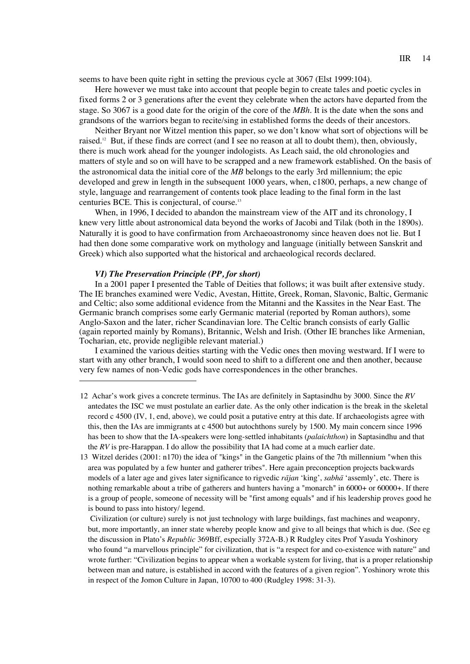seems to have been quite right in setting the previous cycle at 3067 (Elst 1999:104).

Here however we must take into account that people begin to create tales and poetic cycles in fixed forms 2 or 3 generations after the event they celebrate when the actors have departed from the stage. So 3067 is a good date for the origin of the core of the *MBh*. It is the date when the sons and grandsons of the warriors began to recite/sing in established forms the deeds of their ancestors.

Neither Bryant nor Witzel mention this paper, so we don't know what sort of objections will be raised.12 But, if these finds are correct (and I see no reason at all to doubt them), then, obviously, there is much work ahead for the younger indologists. As Leach said, the old chronologies and matters of style and so on will have to be scrapped and a new framework established. On the basis of the astronomical data the initial core of the *MB* belongs to the early 3rd millennium; the epic developed and grew in length in the subsequent 1000 years, when, c1800, perhaps, a new change of style, language and rearrangement of contents took place leading to the final form in the last centuries BCE. This is conjectural, of course.13

When, in 1996, I decided to abandon the mainstream view of the AIT and its chronology, I knew very little about astronomical data beyond the works of Jacobi and Tilak (both in the 1890s). Naturally it is good to have confirmation from Archaeoastronomy since heaven does not lie. But I had then done some comparative work on mythology and language (initially between Sanskrit and Greek) which also supported what the historical and archaeological records declared.

#### *VI) The Preservation Principle (PP, for short)*

In a 2001 paper I presented the Table of Deities that follows; it was built after extensive study. The IE branches examined were Vedic, Avestan, Hittite, Greek, Roman, Slavonic, Baltic, Germanic and Celtic; also some additional evidence from the Mitanni and the Kassites in the Near East. The Germanic branch comprises some early Germanic material (reported by Roman authors), some Anglo-Saxon and the later, richer Scandinavian lore. The Celtic branch consists of early Gallic (again reported mainly by Romans), Britannic, Welsh and Irish. (Other IE branches like Armenian, Tocharian, etc, provide negligible relevant material.)

I examined the various deities starting with the Vedic ones then moving westward. If I were to start with any other branch, I would soon need to shift to a different one and then another, because very few names of non-Vedic gods have correspondences in the other branches.

- 12 Achar's work gives a concrete terminus. The IAs are definitely in Saptasindhu by 3000. Since the *RV* antedates the ISC we must postulate an earlier date. As the only other indication is the break in the skeletal record c 4500 (IV, 1, end, above), we could posit a putative entry at this date. If archaeologists agree with this, then the IAs are immigrants at c 4500 but autochthons surely by 1500. My main concern since 1996 has been to show that the IA-speakers were long-settled inhabitants (*palaichthon*) in Saptasindhu and that the *RV* is pre-Harappan. I do allow the possibility that IA had come at a much earlier date.
- 13 Witzel derides (2001: n170) the idea of "kings" in the Gangetic plains of the 7th millennium "when this area was populated by a few hunter and gatherer tribes". Here again preconception projects backwards models of a later age and gives later significance to rigvedic *rajan* 'king', *sabha* 'assemly', etc. There is nothing remarkable about a tribe of gatherers and hunters having a "monarch" in 6000+ or 60000+. If there is a group of people, someone of necessity will be "first among equals" and if his leadership proves good he is bound to pass into history/ legend.

Civilization (or culture) surely is not just technology with large buildings, fast machines and weaponry, but, more importantly, an inner state whereby people know and give to all beings that which is due. (See eg the discussion in Plato's *Republic* 369Bff, especially 372A-B.) R Rudgley cites Prof Yasuda Yoshinory who found "a marvellous principle" for civilization, that is "a respect for and co-existence with nature" and wrote further: "Civilization begins to appear when a workable system for living, that is a proper relationship between man and nature, is established in accord with the features of a given region". Yoshinory wrote this in respect of the Jomon Culture in Japan, 10700 to 400 (Rudgley 1998: 31-3).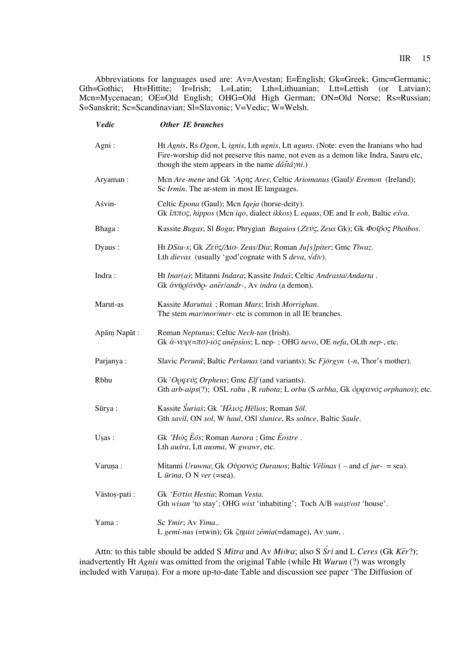Abbreviations for languages used are: Av=Avestan; E=English; Gk=Greek; Gmc=Germanic; Gth=Gothic; Ht=Hittite; Ir=Irish; L=Latin; Lth=Lithuanian; Ltt=Lettish (or Latvian); Mcn=Mycenaean; OE=Old English; OHG=Old High German; ON=Old Norse; Rs=Russian; S=Sanskrit; Sc=Scandinavian; Sl=Slavonic; V=Vedic; W=Welsh.

| Vedic        | Other IE branches                                                                                                                                                                                                                               |
|--------------|-------------------------------------------------------------------------------------------------------------------------------------------------------------------------------------------------------------------------------------------------|
| Agni:        | Ht Agnis, Rs Ogon, L ignis, Lth ugnis, Ltt uguns. (Note: even the Iranians who had<br>Fire-worship did not preserve this name, not even as a demon like Indra, Sauru etc,<br>though the stem appears in the name $d\bar{a}\bar{f}d\gamma ni$ .) |
| Aryaman:     | Mcn Are-mene and Gk "AQng Ares; Celtic Ariomanus (Gaul)/ Eremon (Ireland);<br>Sc Irmin. The ar-stem in most IE languages.                                                                                                                       |
| Aśvin-       | Celtic Epona (Gaul); Mcn Iqeja (horse-deity).<br>Gk ἵππος, hippos (Men iqo, dialect ikkos) L equus, OE and Ir eoh, Baltic ešva.                                                                                                                 |
| Bhaga:       | Kassite Bugas; Sl Bogu; Phrygian Bagaios (Zεύς, Zeus Gk); Gk Φοΐβος Phoibos.                                                                                                                                                                    |
| Dyaus:       | Ht DSiu-s; Gk Ζεύς/Δία- Zeus/Dia; Roman Ju[s]piter; Gmc Tîwaz.<br>Lth <i>dievas</i> (usually 'god' cognate with S <i>deva</i> , $\sqrt{div}$ ).                                                                                                 |
| Indra:       | Ht Inar(a); Mitanni Indara; Kassite Indaš; Celtic Andrasta/Andarta.<br>Gk ἀνήρ/ἀνδρ- anēr/andr-, Av indra (a demon).                                                                                                                            |
| Marut-as     | Kassite Maruttaš; Roman Mars; Irish Morrighan.<br>The stem <i>mar/mor/mer-</i> etc is common in all IE branches.                                                                                                                                |
| Apām Napāt:  | Roman Neptunus; Celtic Nech-tan (Irish).<br>Gk ἀ-νεψ(=πσ)-ιός anēpsios; L nep-; OHG nevo, OE nefa, OLth nep-, etc.                                                                                                                              |
| Parjanya:    | Slavic Perunu: Baltic Perkunas (and variants); Sc Fjörgyn (-n, Thor's mother).                                                                                                                                                                  |
| Rbhu         | Gk ' $O \circ \varphi \in \mathcal{O}$ <i>Orpheus</i> ; Gmc <i>Elf</i> (and variants).<br>Gth arb-aips(?); OSL rabu, R rabota; L orbu (S arbha, Gk $\partial$ ogavó $\zeta$ orphanos); etc.                                                     |
| Sūrya:       | Kassite <i>Šuriaš</i> ; Gk "Ηλιος Helios; Roman Sol.<br>Gth savil, ON sol, W haul, OSI slunice, Rs solnce, Baltic Saule.                                                                                                                        |
| Usas:        | Gk 'Hώς Eōs; Roman Aurora ; Gmc Eostre.<br>Lth auśra, Ltt ausma, W gwawr, etc.                                                                                                                                                                  |
| Varuna:      | Mitanni Uruwna; Gk Oὐρανός Ouranos; Baltic Vēlinas ( – and cf jur- = sea).<br>L $\bar{u}$ rina, O N ver (=sea).                                                                                                                                 |
| Vāstos-pati: | Gk 'Εστία Hestia; Roman Vesta.<br>Gth wisan 'to stay'; OHG wist 'inhabiting'; Toch A/B wast/ost 'house'.                                                                                                                                        |
| Yama:        | Sc Ymir; Av Yima<br>L gemi-nus (=twin); Gk $\zeta \eta \mu \iota \alpha$ zēmia(=damage), Av yam, .                                                                                                                                              |
|              |                                                                                                                                                                                                                                                 |

Attn: to this table should be added S *Mitra* and Av *Miva*; also S  $\tilde{S}r\tilde{i}$  and L *Ceres* (Gk *Ker*?); inadvertently Ht *Agnis* was omitted from the original Table (while Ht *Wurun* (?) was wrongly included with Varuna). For a more up-to-date Table and discussion see paper 'The Diffusion of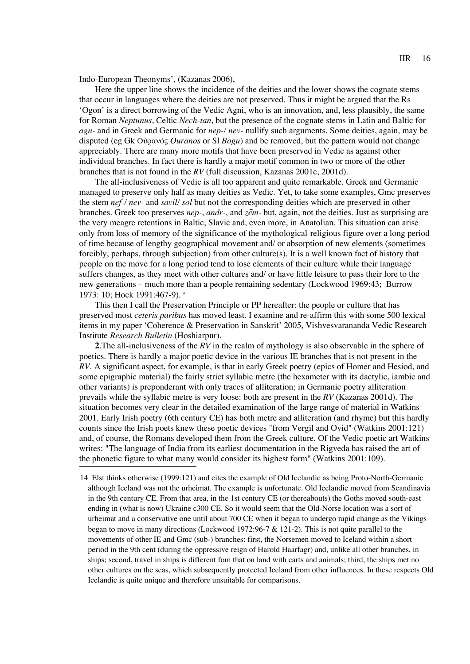Indo-European Theonyms', (Kazanas 2006),

Here the upper line shows the incidence of the deities and the lower shows the cognate stems that occur in languages where the deities are not preserved. Thus it might be argued that the Rs 'Ogon' is a direct borrowing of the Vedic Agni, who is an innovation, and, less plausibly, the same for Roman *Neptunus*, Celtic *Nech-tan*, but the presence of the cognate stems in Latin and Baltic for *agn-* and in Greek and Germanic for *nep-/ nev-* nullify such arguments. Some deities, again, may be disputed (eg Gk Οὐρανός *Ouranos* or Sl *Bogu*) and be removed, but the pattern would not change appreciably. There are many more motifs that have been preserved in Vedic as against other individual branches. In fact there is hardly a major motif common in two or more of the other branches that is not found in the *RV* (full discussion, Kazanas 2001c, 2001d).

The all-inclusiveness of Vedic is all too apparent and quite remarkable. Greek and Germanic managed to preserve only half as many deities as Vedic. Yet, to take some examples, Gmc preserves the stem *nef-/ nev-* and *savil/ sol* but not the corresponding deities which are preserved in other branches. Greek too preserves *nep-*, *andr-*, and *ze*a*m-* but, again, not the deities. Just as surprising are the very meagre retentions in Baltic, Slavic and, even more, in Anatolian. This situation can arise only from loss of memory of the significance of the mythological-religious figure over a long period of time because of lengthy geographical movement and/ or absorption of new elements (sometimes forcibly, perhaps, through subjection) from other culture(s). It is a well known fact of history that people on the move for a long period tend to lose elements of their culture while their language suffers changes, as they meet with other cultures and/ or have little leisure to pass their lore to the new generations – much more than a people remaining sedentary (Lockwood 1969:43; Burrow 1973: 10; Hock 1991:467-9).<sup>14</sup>

This then I call the Preservation Principle or PP hereafter: the people or culture that has preserved most *ceteris paribus* has moved least. I examine and re-affirm this with some 500 lexical items in my paper 'Coherence & Preservation in Sanskrit' 2005, Vishvesvarananda Vedic Research Institute *Research Bulletin* (Hoshiarpur).

**2**.The all-inclusiveness of the *RV* in the realm of mythology is also observable in the sphere of poetics. There is hardly a major poetic device in the various IE branches that is not present in the *RV*. A significant aspect, for example, is that in early Greek poetry (epics of Homer and Hesiod, and some epigraphic material) the fairly strict syllabic metre (the hexameter with its dactylic, iambic and other variants) is preponderant with only traces of alliteration; in Germanic poetry alliteration prevails while the syllabic metre is very loose: both are present in the *RV* (Kazanas 2001d). The situation becomes very clear in the detailed examination of the large range of material in Watkins 2001. Early Irish poetry (6th century CE) has both metre and alliteration (and rhyme) but this hardly counts since the Irish poets knew these poetic devices "from Vergil and Ovid" (Watkins 2001:121) and, of course, the Romans developed them from the Greek culture. Of the Vedic poetic art Watkins writes: "The language of India from its earliest documentation in the Rigveda has raised the art of the phonetic figure to what many would consider its highest form" (Watkins 2001:109).

<sup>14</sup> Elst thinks otherwise (1999:121) and cites the example of Old Icelandic as being Proto-North-Germanic although Iceland was not the urheimat. The example is unfortunate. Old Icelandic moved from Scandinavia in the 9th century CE. From that area, in the 1st century CE (or thereabouts) the Goths moved south-east ending in (what is now) Ukraine c300 CE. So it would seem that the Old-Norse location was a sort of urheimat and a conservative one until about 700 CE when it began to undergo rapid change as the Vikings began to move in many directions (Lockwood 1972:96-7 & 121-2). This is not quite parallel to the movements of other IE and Gmc (sub-) branches: first, the Norsemen moved to Iceland within a short period in the 9th cent (during the oppressive reign of Harold Haarfagr) and, unlike all other branches, in ships; second, travel in ships is different fom that on land with carts and animals; third, the ships met no other cultures on the seas, which subsequently protected Iceland from other influences. In these respects Old Icelandic is quite unique and therefore unsuitable for comparisons.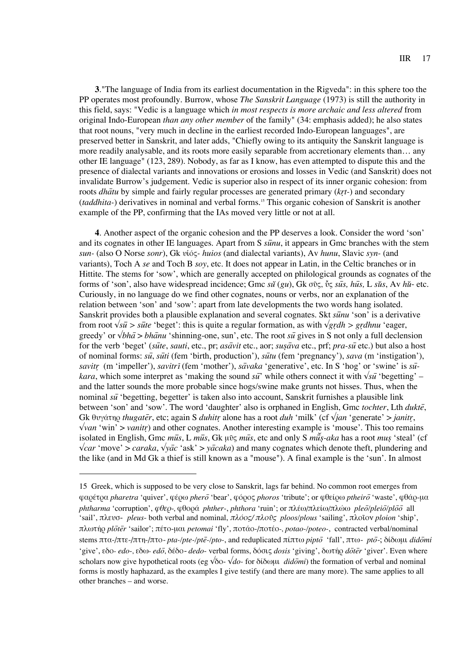**3**."The language of India from its earliest documentation in the Rigveda": in this sphere too the PP operates most profoundly. Burrow, whose *The Sanskrit Language* (1973) is still the authority in this field, says: "Vedic is a language which *in most respects is more archaic and less altered* from original Indo-European *than any other member* of the family" (34: emphasis added); he also states that root nouns, "very much in decline in the earliest recorded Indo-European languages", are preserved better in Sanskrit, and later adds, "Chiefly owing to its antiquity the Sanskrit language is more readily analysable, and its roots more easily separable from accretionary elements than… any other IE language" (123, 289). Nobody, as far as I know, has even attempted to dispute this and the presence of dialectal variants and innovations or erosions and losses in Vedic (and Sanskrit) does not invalidate Burrow's judgement. Vedic is superior also in respect of its inner organic cohesion: from roots *dha*a*tu* by simple and fairly regular processes are generated primary (*kr*r*t-*) and secondary (*taddhita-*) derivatives in nominal and verbal forms.15 This organic cohesion of Sanskrit is another example of the PP, confirming that the IAs moved very little or not at all.

**4**. Another aspect of the organic cohesion and the PP deserves a look. Consider the word 'son' and its cognates in other IE languages. Apart from S *su*u*nu*, it appears in Gmc branches with the stem *sun-* (also O Norse *sonr*), Gk ˘îfi˜*- huios* (and dialectal variants), Av *hunu*, Slavic *syn-* (and variants), Toch A *se* and Toch B *soy*, etc. It does not appear in Latin, in the Celtic branches or in Hittite. The stems for 'sow', which are generally accepted on philological grounds as cognates of the forms of 'son', also have widespread incidence; Gmc *su˙* (*gu*), Gk Ûܘ, y˜ *su*a*s, hu*a*s,* L *su*˙*s*, Av *hu*˙- etc. Curiously, in no language do we find other cognates, nouns or verbs, nor an explanation of the relation between 'son' and 'sow': apart from late developments the two words hang isolated. Sanskrit provides both a plausible explanation and several cognates. Skt *sūnu* 'son' is a derivative from root  $\sqrt{s\bar{u}} > s\bar{u}te$  'beget': this is quite a regular formation, as with  $\sqrt{grdh} > grdhnu$  'eager, greedy' or  $\sqrt{bh\bar{a}} > bh\bar{a}nu$  'shinning-one, sun', etc. The root *su* gives in S not only a full declension for the verb 'beget' (*su*a*te*, *sauti*, etc., pr; *asa*a*vit* etc., aor; *sus*w*a*a*va* etc., prf; *pra-su*a etc.) but also a host of nominal forms: *su*a, *su*a*ti* (fem 'birth, production'), *su*a*tu* (fem 'pregnancy'), *sava* (m 'instigation'), *savitr*r (m 'impeller'), *savitr*i (fem 'mother'), *sa*a*vaka* 'generative', etc. In S 'hog' or 'swine' is *su*a*kara*, which some interpret as 'making the sound *su*<sup>2</sup> while others connect it with  $\sqrt{s}u$  'begetting' – and the latter sounds the more probable since hogs/swine make grunts not hisses. Thus, when the nominal *su*<sup>t</sup> begetting, begetter' is taken also into account, Sanskrit furnishes a plausible link between 'son' and 'sow'. The word 'daughter' also is orphaned in English, Gmc *tochter*, Lth *dukte*, Gk θυγάτηρ *thugater*, etc; again S *duhitr* alone has a root *duh* 'milk' (cf √*jan* 'generate' > *janitr*, √*van* 'win' > *vanitr*) and other cognates. Another interesting example is 'mouse'. This too remains isolated in English, Gmc mūs, L mūs, Gk μῦς mūs, etc and only S mūs-aka has a root mus 'steal' (cf √*car* 'move' > *caraka*, √*ya*a*c* 'ask' > *ya*a*caka*) and many cognates which denote theft, plundering and the like (and in Md Gk a thief is still known as a "mouse"). A final example is the 'sun'. In almost

<sup>15</sup> Greek, which is supposed to be very close to Sanskrit, lags far behind. No common root emerges from φαρέτρα *pharetra* 'quiver', φέρω *pherō* 'bear', φόρος *phoros* 'tribute'; or φθείρω *ptheirō* 'waste', φθάρ-μα *phtharma* 'corruption', φθεο-, φθοοά *phther-*, *phthora* 'ruin'; or πλέω/πλείω/πλώω *pleo/pleio/ploo* all 'sail', πλευσ- *pleus*- both verbal and nominal, πλόος/πλοῦς *ploos/plous* 'sailing', πλοῖον *ploion* 'ship', πλωτήρ ploter 'sailor'; πέτο-μαι petomai 'fly', ποτάο-/ποτέο-, potao-/poteo-, contracted verbal/nominal stems πτα-/πτε-/πτη-/πτο- *pta-/pte-/ptē-/pto-*, and reduplicated πίπτω *pipto* 'fall', πτω- *pto*-; δίδωμι *didomi* 'give', εδο- edo-, εδω- edō, δέδο- dedo- verbal forms, δόσις dosis 'giving', δωτήρ dōtēr 'giver'. Even where scholars now give hypothetical roots (eg  $\sqrt{\delta}$ o-  $\sqrt{d}$ o- for  $\delta$ *i* $\delta$ ω $\mu$ *i didomi*) the formation of verbal and nominal forms is mostly haphazard, as the examples I give testify (and there are many more). The same applies to all other branches – and worse.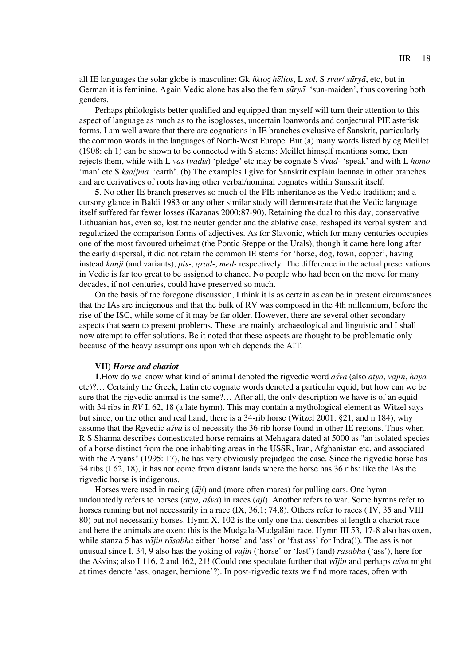all IE languages the solar globe is masculine: Gk  $\hat{\eta}\lambda\iota$ o $\zeta$  *helios*, L *sol*, S *svar/ surva*, etc, but in German it is feminine. Again Vedic alone has also the fem *surva* 'sun-maiden', thus covering both genders.

Perhaps philologists better qualified and equipped than myself will turn their attention to this aspect of language as much as to the isoglosses, uncertain loanwords and conjectural PIE asterisk forms. I am well aware that there are cognations in IE branches exclusive of Sanskrit, particularly the common words in the languages of North-West Europe. But (a) many words listed by eg Meillet (1908: ch 1) can be shown to be connected with S stems: Meillet himself mentions some, then rejects them, while with L *vas* (*vadis*) 'pledge' etc may be cognate S √*vad*- 'speak' and with L *homo* 'man' etc S *ksāljmā* 'earth'. (b) The examples I give for Sanskrit explain lacunae in other branches and are derivatives of roots having other verbal/nominal cognates within Sanskrit itself.

**5**. No other IE branch preserves so much of the PIE inheritance as the Vedic tradition; and a cursory glance in Baldi 1983 or any other similar study will demonstrate that the Vedic language itself suffered far fewer losses (Kazanas 2000:87-90). Retaining the dual to this day, conservative Lithuanian has, even so, lost the neuter gender and the ablative case, reshaped its verbal system and regularized the comparison forms of adjectives. As for Slavonic, which for many centuries occupies one of the most favoured urheimat (the Pontic Steppe or the Urals), though it came here long after the early dispersal, it did not retain the common IE stems for 'horse, dog, town, copper', having instead *kunji* (and variants), *pis-*, *grad-*, *med-* respectively. The difference in the actual preservations in Vedic is far too great to be assigned to chance. No people who had been on the move for many decades, if not centuries, could have preserved so much.

On the basis of the foregone discussion, I think it is as certain as can be in present circumstances that the IAs are indigenous and that the bulk of RV was composed in the 4th millennium, before the rise of the ISC, while some of it may be far older. However, there are several other secondary aspects that seem to present problems. These are mainly archaeological and linguistic and I shall now attempt to offer solutions. Be it noted that these aspects are thought to be problematic only because of the heavy assumptions upon which depends the AIT.

## **VII)** *Horse and chariot*

**1**.How do we know what kind of animal denoted the rigvedic word *as*z*va* (also *atya*, *va*a*jin*, *haya* etc)?… Certainly the Greek, Latin etc cognate words denoted a particular equid, but how can we be sure that the rigvedic animal is the same?… After all, the only description we have is of an equid with 34 ribs in *RV* I, 62, 18 (a late hymn). This may contain a mythological element as Witzel says but since, on the other and real hand, there is a 34-rib horse (Witzel 2001: §21, and n 184), why assume that the Rgvedic *asva* is of necessity the 36-rib horse found in other IE regions. Thus when R S Sharma describes domesticated horse remains at Mehagara dated at 5000 as "an isolated species of a horse distinct from the one inhabiting areas in the USSR, Iran, Afghanistan etc. and associated with the Aryans" (1995: 17), he has very obviously prejudged the case. Since the rigvedic horse has 34 ribs (I 62, 18), it has not come from distant lands where the horse has 36 ribs: like the IAs the rigvedic horse is indigenous.

Horses were used in racing  $(\overline{a}ji)$  and (more often mares) for pulling cars. One hymn undoubtedly refers to horses ( $atya$ ,  $a$ya$ ) in races ( $\overline{a}$ *ji*). Another refers to war. Some hymns refer to horses running but not necessarily in a race  $(IX, 36,1; 74,8)$ . Others refer to races (IV, 35 and VIII 80) but not necessarily horses. Hymn X, 102 is the only one that describes at length a chariot race and here the animals are oxen: this is the Mudgala-Mudgalani race. Hymn III 53, 17-8 also has oxen, while stanza 5 has *vājin rāsabha* either 'horse' and 'ass' or 'fast ass' for Indra(!). The ass is not unusual since I, 34, 9 also has the yoking of *vajin* ('horse' or 'fast') (and) *rasabha* ('ass'), here for the Asvins; also I 116, 2 and 162, 21! (Could one speculate further that  $v\bar{a}j\bar{i}n$  and perhaps  $a\acute{s}va$  might at times denote 'ass, onager, hemione'?). In post-rigvedic texts we find more races, often with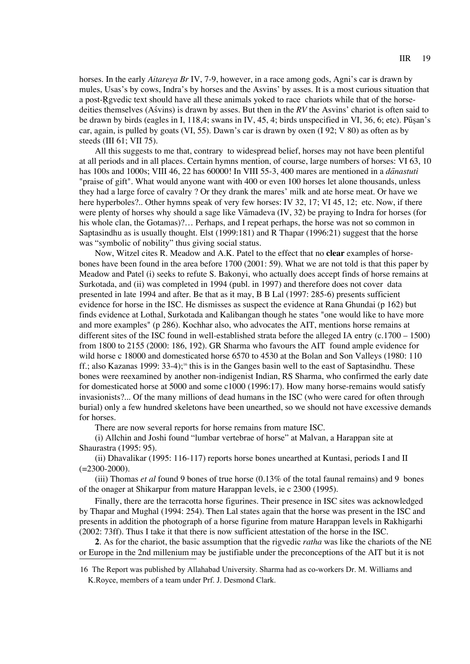horses. In the early *Aitareya Br* IV, 7-9, however, in a race among gods, Agni's car is drawn by mules, Usas's by cows, Indra's by horses and the Asvins' by asses. It is a most curious situation that a post-Rgvedic text should have all these animals yoked to race chariots while that of the horsedeities themselves (Asvins) is drawn by asses. But then in the *RV* the Asvins' chariot is often said to be drawn by birds (eagles in I, 118,4; swans in IV, 45, 4; birds unspecified in VI, 36, 6; etc). Pusan's car, again, is pulled by goats (VI, 55). Dawn's car is drawn by oxen (I 92; V 80) as often as by steeds (III 61; VII 75).

All this suggests to me that, contrary to widespread belief, horses may not have been plentiful at all periods and in all places. Certain hymns mention, of course, large numbers of horses: VI 63, 10 has 100s and 1000s; VIII 46, 22 has 60000! In VIII 55-3, 400 mares are mentioned in a *danastuti* "praise of gift". What would anyone want with 400 or even 100 horses let alone thousands, unless they had a large force of cavalry ? Or they drank the mares' milk and ate horse meat. Or have we here hyperboles?.. Other hymns speak of very few horses: IV 32, 17; VI 45, 12; etc. Now, if there were plenty of horses why should a sage like Vamadeva  $(V, 32)$  be praying to Indra for horses (for his whole clan, the Gotamas)?… Perhaps, and I repeat perhaps, the horse was not so common in Saptasindhu as is usually thought. Elst (1999:181) and R Thapar (1996:21) suggest that the horse was "symbolic of nobility" thus giving social status.

Now, Witzel cites R. Meadow and A.K. Patel to the effect that no **clear** examples of horsebones have been found in the area before 1700 (2001: 59). What we are not told is that this paper by Meadow and Patel (i) seeks to refute S. Bakonyi, who actually does accept finds of horse remains at Surkotada, and (ii) was completed in 1994 (publ. in 1997) and therefore does not cover data presented in late 1994 and after. Be that as it may, B B Lal (1997: 285-6) presents sufficient evidence for horse in the ISC. He dismisses as suspect the evidence at Rana Ghundai (p 162) but finds evidence at Lothal, Surkotada and Kalibangan though he states "one would like to have more and more examples" (p 286). Kochhar also, who advocates the AIT, mentions horse remains at different sites of the ISC found in well-established strata before the alleged IA entry (c.1700 – 1500) from 1800 to 2155 (2000: 186, 192). GR Sharma who favours the AIT found ample evidence for wild horse c 18000 and domesticated horse 6570 to 4530 at the Bolan and Son Valleys (1980: 110 ff.; also Kazanas 1999: 33-4);<sup>16</sup> this is in the Ganges basin well to the east of Saptasindhu. These bones were reexamined by another non-indigenist Indian, RS Sharma, who confirmed the early date for domesticated horse at 5000 and some c1000 (1996:17). How many horse-remains would satisfy invasionists?... Of the many millions of dead humans in the ISC (who were cared for often through burial) only a few hundred skeletons have been unearthed, so we should not have excessive demands for horses.

There are now several reports for horse remains from mature ISC.

(i) Allchin and Joshi found "lumbar vertebrae of horse" at Malvan, a Harappan site at Shaurastra (1995: 95).

(ii) Dhavalikar (1995: 116-117) reports horse bones unearthed at Kuntasi, periods I and II  $(=2300-2000)$ .

(iii) Thomas *et al* found 9 bones of true horse (0.13% of the total faunal remains) and 9 bones of the onager at Shikarpur from mature Harappan levels, ie c 2300 (1995).

Finally, there are the terracotta horse figurines. Their presence in ISC sites was acknowledged by Thapar and Mughal (1994: 254). Then Lal states again that the horse was present in the ISC and presents in addition the photograph of a horse figurine from mature Harappan levels in Rakhigarhi (2002: 73ff). Thus I take it that there is now sufficient attestation of the horse in the ISC.

**2**. As for the chariot, the basic assumption that the rigvedic *ratha* was like the chariots of the NE or Europe in the 2nd millenium may be justifiable under the preconceptions of the AIT but it is not

<sup>16</sup> The Report was published by Allahabad University. Sharma had as co-workers Dr. M. Williams and K.Royce, members of a team under Prf. J. Desmond Clark.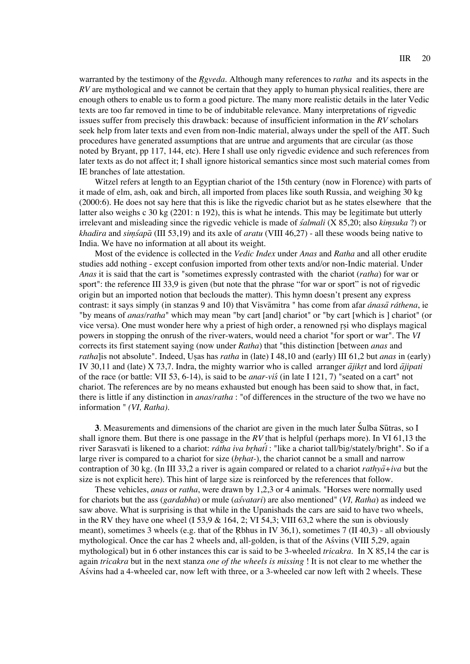warranted by the testimony of the *R*r*gveda*. Although many references to *ratha* and its aspects in the *RV* are mythological and we cannot be certain that they apply to human physical realities, there are enough others to enable us to form a good picture. The many more realistic details in the later Vedic texts are too far removed in time to be of indubitable relevance. Many interpretations of rigvedic issues suffer from precisely this drawback: because of insufficient information in the *RV* scholars seek help from later texts and even from non-Indic material, always under the spell of the AIT. Such procedures have generated assumptions that are untrue and arguments that are circular (as those noted by Bryant, pp 117, 144, etc). Here I shall use only rigvedic evidence and such references from later texts as do not affect it; I shall ignore historical semantics since most such material comes from IE branches of late attestation.

Witzel refers at length to an Egyptian chariot of the 15th century (now in Florence) with parts of it made of elm, ash, oak and birch, all imported from places like south Russia, and weighing 30 kg (2000:6). He does not say here that this is like the rigvedic chariot but as he states elsewhere that the latter also weighs c 30 kg (2201: n 192), this is what he intends. This may be legitimate but utterly irrelevant and misleading since the rigvedic vehicle is made of *s*z*almali* (X 85,20; also *kim*-*suka* ?) or *khadira* and *sim*-*s*z*apa*a (III 53,19) and its axle of *aratu* (VIII 46,27) - all these woods being native to India. We have no information at all about its weight.

Most of the evidence is collected in the *Vedic Index* under *Anas* and *Ratha* and all other erudite studies add nothing - except confusion imported from other texts and/or non-Indic material. Under *Anas* it is said that the cart is "sometimes expressly contrasted with the chariot (*ratha*) for war or sport": the reference III 33,9 is given (but note that the phrase "for war or sport" is not of rigvedic origin but an imported notion that beclouds the matter). This hymn doesn't present any express contrast: it says simply (in stanzas 9 and 10) that Visvamitra " has come from afar *ánasa ráthena*, ie "by means of *anas/ratha*" which may mean "by cart [and] chariot" or "by cart [which is ] chariot" (or vice versa). One must wonder here why a priest of high order, a renowned rsi who displays magical powers in stopping the onrush of the river-waters, would need a chariot "for sport or war". The *VI* corrects its first statement saying (now under *Ratha*) that "this distinction [between *anas* and *ratha*]is not absolute". Indeed, Usas has *ratha* in (late) I 48,10 and (early) III 61,2 but *anas* in (early) IV 30,11 and (late) X 73,7. Indra, the mighty warrior who is called arranger  $\bar{a}jikrt$  and lord  $\bar{a}jipati$ of the race (or battle: VII 53, 6-14), is said to be *anar-vis* (in late I 121, 7) "seated on a cart" not chariot. The references are by no means exhausted but enough has been said to show that, in fact, there is little if any distinction in *anas/ratha* : "of differences in the structure of the two we have no information " *(VI, Ratha)*.

**3**. Measurements and dimensions of the chariot are given in the much later Sulba Sutras, so I shall ignore them. But there is one passage in the *RV* that is helpful (perhaps more). In VI 61,13 the river Sarasvati is likened to a chariot: *rátha iva brhati* : "like a chariot tall/big/stately/bright". So if a large river is compared to a chariot for size (*br*r*hat-*), the chariot cannot be a small and narrow contraption of 30 kg. (In III 33,2 a river is again compared or related to a chariot *rathya*+iva but the size is not explicit here). This hint of large size is reinforced by the references that follow.

These vehicles, *anas* or *ratha*, were drawn by 1,2,3 or 4 animals. "Horses were normally used for chariots but the ass (*gardabha*) or mule (*as*z*vatari*) are also mentioned" (*VI, Ratha*) as indeed we saw above. What is surprising is that while in the Upanishads the cars are said to have two wheels, in the RV they have one wheel (I 53,9  $\&$  164, 2; VI 54,3; VIII 63,2 where the sun is obviously meant), sometimes 3 wheels (e.g. that of the Rbhus in IV 36,1), sometimes 7 (II 40,3) - all obviously mythological. Once the car has 2 wheels and, all-golden, is that of the Asvins (VIII 5,29, again mythological) but in 6 other instances this car is said to be 3-wheeled *tricakra*. In X 85,14 the car is again *tricakra* but in the next stanza *one of the wheels is missing* ! It is not clear to me whether the Asvins had a 4-wheeled car, now left with three, or a 3-wheeled car now left with 2 wheels. These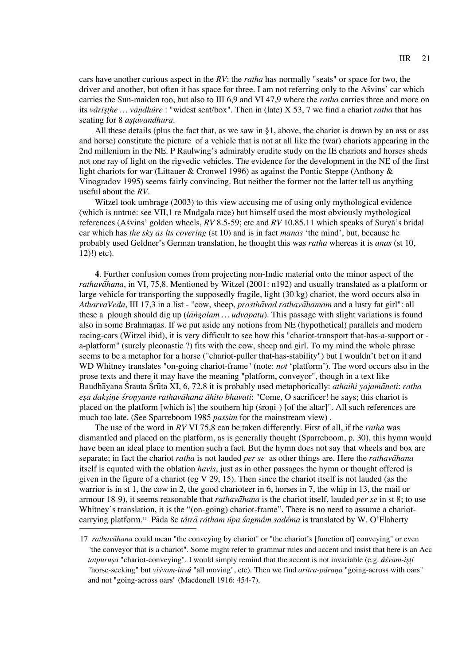cars have another curious aspect in the *RV*: the *ratha* has normally "seats" or space for two, the driver and another, but often it has space for three. I am not referring only to the Asvins' car which carries the Sun-maiden too, but also to III 6,9 and VI 47,9 where the *ratha* carries three and more on its *váris*w*t*t*he … vandhúre* : "widest seat/box". Then in (late) X 53, 7 we find a chariot *ratha* that has seating for 8 *astavandhura*.

All these details (plus the fact that, as we saw in  $\S$ 1, above, the chariot is drawn by an ass or ass and horse) constitute the picture of a vehicle that is not at all like the (war) chariots appearing in the 2nd millenium in the NE. P Raulwing's admirably erudite study on the IE chariots and horses sheds not one ray of light on the rigvedic vehicles. The evidence for the development in the NE of the first light chariots for war (Littauer & Cronwel 1996) as against the Pontic Steppe (Anthony & Vinogradov 1995) seems fairly convincing. But neither the former not the latter tell us anything useful about the *RV*.

Witzel took umbrage (2003) to this view accusing me of using only mythological evidence (which is untrue: see VII,1 re Mudgala race) but himself used the most obviously mythological references (Asvins' golden wheels, *RV* 8.5-59; etc and *RV* 10.85.11 which speaks of Surya's bridal car which has *the sky as its covering* (st 10) and is in fact *manas* 'the mind', but, because he probably used Geldner's German translation, he thought this was *ratha* whereas it is *anas* (st 10, 12)!) etc).

**4**. Further confusion comes from projecting non-Indic material onto the minor aspect of the *rathava<sup>f</sup>hana*, in VI, 75,8. Mentioned by Witzel (2001: n192) and usually translated as a platform or large vehicle for transporting the supposedly fragile, light (30 kg) chariot, the word occurs also in *AtharvaVeda*, III 17,3 in a list - "cow, sheep, *prastha*a*vad rathava*a*hamam* and a lusty fat girl": all these a plough should dig up (*langalam ... udvapatu*). This passage with slight variations is found also in some Brahmanas. If we put aside any notions from NE (hypothetical) parallels and modern racing-cars (Witzel ibid), it is very difficult to see how this "chariot-transport that-has-a-support or a-platform" (surely pleonastic ?) fits with the cow, sheep and girl. To my mind the whole phrase seems to be a metaphor for a horse ("chariot-puller that-has-stability") but I wouldn't bet on it and WD Whitney translates "on-going chariot-frame" (note: *not* 'platform'). The word occurs also in the prose texts and there it may have the meaning "platform, conveyor", though in a text like Baudhavana Srauta Srūta XI, 6, 72,8 it is probably used metaphorically: *athaihi yajamaneti: ratha es*w*a daks*w*in*-*e s*z*ron*-*yante rathava*a*hana a*a*hito bhavati*: "Come, O sacrificer! he says; this chariot is placed on the platform [which is] the southern hip (stroni-) [of the altar]". All such references are much too late. (See Sparreboom 1985 *passim* for the mainstream view) .

The use of the word in *RV* VI 75,8 can be taken differently. First of all, if the *ratha* was dismantled and placed on the platform, as is generally thought (Sparreboom, p. 30), this hymn would have been an ideal place to mention such a fact. But the hymn does not say that wheels and box are separate; in fact the chariot *ratha* is not lauded *per se* as other things are. Here the *rathavahana* itself is equated with the oblation *havis*, just as in other passages the hymn or thought offered is given in the figure of a chariot (eg V 29, 15). Then since the chariot itself is not lauded (as the warrior is in st 1, the cow in 2, the good charioteer in 6, horses in 7, the whip in 13, the mail or armour 18-9), it seems reasonable that *rathavahana* is the chariot itself, lauded *per se* in st 8; to use Whitney's translation, it is the "(on-going) chariot-frame". There is no need to assume a chariotcarrying platform.<sup>17</sup> Pada 8c tátra rátham úpa sagmám sadéma is translated by W. O'Flaherty

<sup>17</sup> *rathavahana* could mean "the conveying by chariot" or "the chariot's [function of] conveying" or even "the conveyor that is a chariot". Some might refer to grammar rules and accent and insist that here is an Acc *tatpurusa* "chariot-conveying". I would simply remind that the accent is not invariable (e.g. *áśvam-isti* "horse-seeking" but *viśvam-invá* "all moving", etc). Then we find *aritra-párana* "going-across with oars" and not "going-across oars" (Macdonell 1916: 454-7).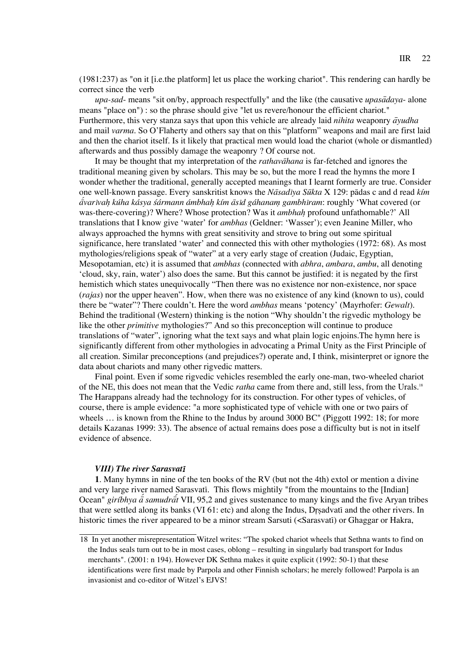(1981:237) as "on it [i.e.the platform] let us place the working chariot". This rendering can hardly be correct since the verb

*upa-sad-* means "sit on/by, approach respectfully" and the like (the causative *upasadaya-* alone means "place on") : so the phrase should give "let us revere/honour the efficient chariot." Furthermore, this very stanza says that upon this vehicle are already laid *nihita* weaponry  $\bar{a}yudha$ and mail *varma*. So O'Flaherty and others say that on this "platform" weapons and mail are first laid and then the chariot itself. Is it likely that practical men would load the chariot (whole or dismantled) afterwards and thus possibly damage the weaponry ? Of course not.

It may be thought that my interpretation of the *rathavahana* is far-fetched and ignores the traditional meaning given by scholars. This may be so, but the more I read the hymns the more I wonder whether the traditional, generally accepted meanings that I learnt formerly are true. Consider one well-known passage. Every sanskritist knows the *Na*a*sad*i*ya Su*u*kta* X 129: paadas c and d read *kím*   $a^2$ *a*<sup>*xarivah kúha kásya śármann ámbhah kím āsid gáhanam gambhiram: roughly 'What covered (or</sup>* was-there-covering)? Where? Whose protection? Was it *ambhah*h profound unfathomable?' All translations that I know give 'water' for *ambhas* (Geldner: 'Wasser'); even Jeanine Miller, who always approached the hymns with great sensitivity and strove to bring out some spiritual significance, here translated 'water' and connected this with other mythologies (1972: 68). As most mythologies/religions speak of "water" at a very early stage of creation (Judaic, Egyptian, Mesopotamian, etc) it is assumed that *ambhas* (connected with *abhra*, *ambara*, *ambu*, all denoting 'cloud, sky, rain, water') also does the same. But this cannot be justified: it is negated by the first hemistich which states unequivocally "Then there was no existence nor non-existence, nor space (*rajas*) nor the upper heaven". How, when there was no existence of any kind (known to us), could there be "water"? There couldn't. Here the word *ambhas* means 'potency' (Mayrhofer: *Gewalt*). Behind the traditional (Western) thinking is the notion "Why shouldn't the rigvedic mythology be like the other *primitive* mythologies?" And so this preconception will continue to produce translations of "water", ignoring what the text says and what plain logic enjoins.The hymn here is significantly different from other mythologies in advocating a Primal Unity as the First Principle of all creation. Similar preconceptions (and prejudices?) operate and, I think, misinterpret or ignore the data about chariots and many other rigvedic matters.

Final point. Even if some rigvedic vehicles resembled the early one-man, two-wheeled chariot of the NE, this does not mean that the Vedic *ratha* came from there and, still less, from the Urals.18 The Harappans already had the technology for its construction. For other types of vehicles, of course, there is ample evidence: "a more sophisticated type of vehicle with one or two pairs of wheels ... is known from the Rhine to the Indus by around 3000 BC" (Piggott 1992: 18; for more details Kazanas 1999: 33). The absence of actual remains does pose a difficulty but is not in itself evidence of absence.

## *VIII) The river Sarasvat*<sup>i</sup>

**1**. Many hymns in nine of the ten books of the RV (but not the 4th) extol or mention a divine and very large river named Sarasvati. This flows mightily "from the mountains to the [Indian] Ocean" *giríbhya a<sup>* $\tilde{a}$  *samudrãt* VII, 95,2 and gives sustenance to many kings and the five Aryan tribes</sup> that were settled along its banks (VI 61: etc) and along the Indus, Dr sadvati and the other rivers. In historic times the river appeared to be a minor stream Sarsuti (<Sarasvati) or Ghaggar or Hakra,

<sup>18</sup> In yet another misrepresentation Witzel writes: "The spoked chariot wheels that Sethna wants to find on the Indus seals turn out to be in most cases, oblong – resulting in singularly bad transport for Indus merchants". (2001: n 194). However DK Sethna makes it quite explicit (1992: 50-1) that these identifications were first made by Parpola and other Finnish scholars; he merely followed! Parpola is an invasionist and co-editor of Witzel's EJVS!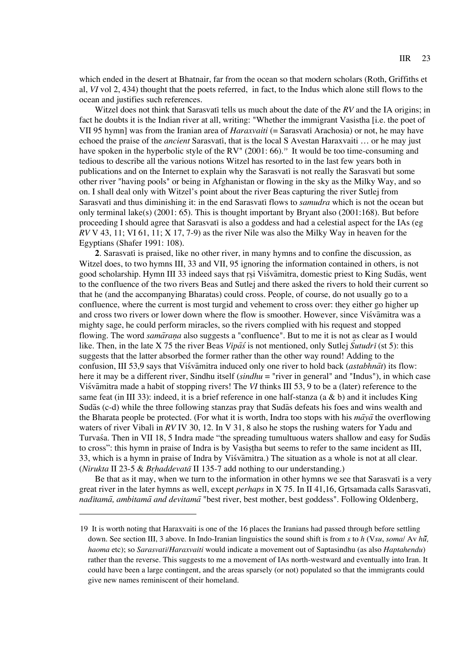which ended in the desert at Bhatnair, far from the ocean so that modern scholars (Roth, Griffiths et al, *VI* vol 2, 434) thought that the poets referred, in fact, to the Indus which alone still flows to the ocean and justifies such references.

Witzel does not think that Sarasvati tells us much about the date of the *RV* and the IA origins; in fact he doubts it is the Indian river at all, writing: "Whether the immigrant Vasistha [i.e. the poet of VII 95 hymn] was from the Iranian area of *Haraxvaiti* (= Sarasvati Arachosia) or not, he may have echoed the praise of the *ancient* Sarasvati, that is the local S Avestan Haraxvaiti … or he may just have spoken in the hyperbolic style of the RV" (2001: 66).<sup>19</sup> It would be too time-consuming and tedious to describe all the various notions Witzel has resorted to in the last few years both in publications and on the Internet to explain why the Sarasvati is not really the Sarasvati but some other river "having pools" or being in Afghanistan or flowing in the sky as the Milky Way, and so on. I shall deal only with Witzel's point about the river Beas capturing the river Sutlej from Sarasvati and thus diminishing it: in the end Sarasvati flows to *samudra* which is not the ocean but only terminal lake(s) (2001: 65). This is thought important by Bryant also (2001:168). But before proceeding I should agree that Sarasvati is also a goddess and had a celestial aspect for the IAs (eg *RV* V 43, 11; VI 61, 11; X 17, 7-9) as the river Nile was also the Milky Way in heaven for the Egyptians (Shafer 1991: 108).

**2**. Sarasvati is praised, like no other river, in many hymns and to confine the discussion, as Witzel does, to two hymns III, 33 and VII, 95 ignoring the information contained in others, is not good scholarship. Hymn III 33 indeed says that rsi Visvamitra, domestic priest to King Sudas, went to the confluence of the two rivers Beas and Sutlej and there asked the rivers to hold their current so that he (and the accompanying Bharatas) could cross. People, of course, do not usually go to a confluence, where the current is most turgid and vehement to cross over: they either go higher up and cross two rivers or lower down where the flow is smoother. However, since Visvamitra was a mighty sage, he could perform miracles, so the rivers complied with his request and stopped flowing. The word *samāraṇa* also suggests a "confluence". But to me it is not as clear as I would like. Then, in the late X 75 the river Beas *Vipas*<sup>s</sup> is not mentioned, only Sutlej *Sutudri* (st 5): this suggests that the latter absorbed the former rather than the other way round! Adding to the confusion, III 53,9 says that Visvamitra induced only one river to hold back (*astabhnat*) its flow: here it may be a different river, Sindhu itself (*sindhu* = "river in general" and "Indus"), in which case Viszvaamitra made a habit of stopping rivers! The *VI* thinks III 53, 9 to be a (later) reference to the same feat (in III 33): indeed, it is a brief reference in one half-stanza (a & b) and it includes King Sudas (c-d) while the three following stanzas pray that Sudas defeats his foes and wins wealth and the Bharata people be protected. (For what it is worth, Indra too stops with his  $m\bar{a}y\bar{a}$  the overflowing waters of river Vibali in *RV* IV 30, 12. In V 31, 8 also he stops the rushing waters for Yadu and Turvasa. Then in VII 18, 5 Indra made "the spreading tumultuous waters shallow and easy for Sudas to cross": this hymn in praise of Indra is by Vasistha but seems to refer to the same incident as III, 33, which is a hymn in praise of Indra by Visvamitra.) The situation as a whole is not at all clear. (*Nirukta* II 23-5 & *Brhaddevata* II 135-7 add nothing to our understanding.)

Be that as it may, when we turn to the information in other hymns we see that Sarasvati is a very great river in the later hymns as well, except *perhaps* in X 75. In II 41,16, Grrtsamada calls Sarasvati, *nad*i*tama*a*, ambitama*a*and devitama*a "best river, best mother, best goddess". Following Oldenberg,

<sup>19</sup> It is worth noting that Haraxvaiti is one of the 16 places the Iranians had passed through before settling down. See section III, 3 above. In Indo-Iranian linguistics the sound shift is from *s* to *h* (V*su*, *soma*/ Av *hu*u*˙*, *haoma* etc); so *Sarasvat*i*/Haraxvaiti* would indicate a movement out of Saptasindhu (as also *Haptahendu*) rather than the reverse. This suggests to me a movement of IAs north-westward and eventually into Iran. It could have been a large contingent, and the areas sparsely (or not) populated so that the immigrants could give new names reminiscent of their homeland.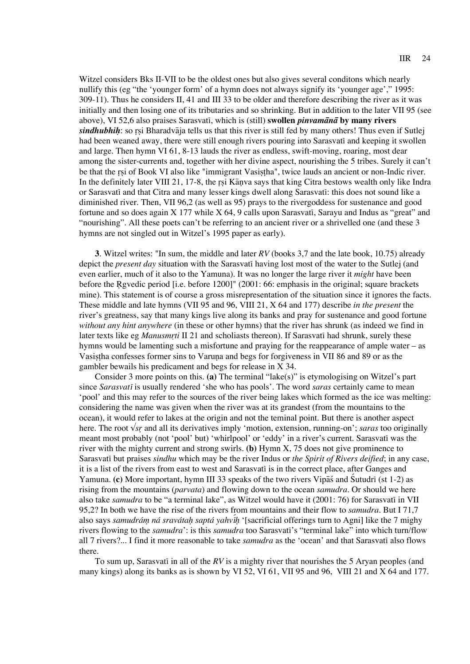Witzel considers Bks II-VII to be the oldest ones but also gives several conditons which nearly nullify this (eg "the 'younger form' of a hymn does not always signify its 'younger age'," 1995: 309-11). Thus he considers II, 41 and III 33 to be older and therefore describing the river as it was initially and then losing one of its tributaries and so shrinking. But in addition to the later VII 95 (see above), VI 52,6 also praises Sarasvati, which is (still) **swollen** *pinvamana* by many rivers *sindhubhih*: so rsi Bharadva<sup>d</sup>ia tells us that this river is still fed by many others! Thus even if Sutlej had been weaned away, there were still enough rivers pouring into Sarasvati and keeping it swollen and large. Then hymn VI 61, 8-13 lauds the river as endless, swift-moving, roaring, most dear among the sister-currents and, together with her divine aspect, nourishing the 5 tribes. Surely it can't be that the rsi of Book VI also like "immigrant Vasistha", twice lauds an ancient or non-Indic river. In the definitely later VIII 21, 17-8, the rsi Kanva says that king Citra bestows wealth only like Indra or Sarasvati and that Citra and many lesser kings dwell along Sarasvati: this does not sound like a diminished river. Then, VII 96,2 (as well as 95) prays to the rivergoddess for sustenance and good fortune and so does again X 177 while X 64, 9 calls upon Sarasvati, Sarayu and Indus as "great" and "nourishing". All these poets can't be referring to an ancient river or a shrivelled one (and these 3 hymns are not singled out in Witzel's 1995 paper as early).

**3**. Witzel writes: "In sum, the middle and later *RV* (books 3,7 and the late book, 10.75) already depict the *present day* situation with the Sarasvati having lost most of the water to the Sutlej (and even earlier, much of it also to the Yamuna). It was no longer the large river it *might* have been before the Rgvedic period [i.e. before 1200]" (2001: 66: emphasis in the original; square brackets mine). This statement is of course a gross misrepresentation of the situation since it ignores the facts. These middle and late hymns (VII 95 and 96, VIII 21, X 64 and 177) describe *in the present* the river's greatness, say that many kings live along its banks and pray for sustenance and good fortune *without any hint anywhere* (in these or other hymns) that the river has shrunk (as indeed we find in later texts like eg *Manusmr*r*ti* II 21 and scholiasts thereon). If Sarasvati had shrunk, surely these hymns would be lamenting such a misfortune and praying for the reappearance of ample water – as Vasistha confesses former sins to Varuna and begs for forgiveness in VII 86 and 89 or as the gambler bewails his predicament and begs for release in X 34.

Consider 3 more points on this. **(a)** The terminal "lake(s)" is etymologising on Witzel's part since *Sarasvat*i is usually rendered 'she who has pools'. The word *saras* certainly came to mean 'pool' and this may refer to the sources of the river being lakes which formed as the ice was melting: considering the name was given when the river was at its grandest (from the mountains to the ocean), it would refer to lakes at the origin and not the teminal point. But there is another aspect here. The root √*sr*r and all its derivatives imply 'motion, extension, running-on'; *saras* too originally meant most probably (not 'pool' but) 'whirlpool' or 'eddy' in a river's current. Sarasvati was the river with the mighty current and strong swirls. **(b)** Hymn X, 75 does not give prominence to Sarasvati but praises *sindhu* which may be the river Indus or *the Spirit of Rivers deified*; in any case, it is a list of the rivers from east to west and Sarasvati is in the correct place, after Ganges and Yamuna. **(c)** More important, hymn III 33 speaks of the two rivers Vipas and Sutudri (st 1-2) as rising from the mountains (*parvata*) and flowing down to the ocean *samudra*. Or should we here also take *samudra* to be "a terminal lake", as Witzel would have it (2001: 76) for Sarasvati in VII 95,2? In both we have the rise of the rivers from mountains and their flow to *samudra*. But I 71,7 also says *samudrám ná sravátah saptá yahvih* '[sacrificial offerings turn to Agni] like the 7 mighy rivers flowing to the *samudra*': is this *samudra* too Sarasvati's "terminal lake" into which turn/flow all 7 rivers?... I find it more reasonable to take *samudra* as the 'ocean' and that Sarasvati also flows there.

To sum up, Sarasvati in all of the *RV* is a mighty river that nourishes the 5 Aryan peoples (and many kings) along its banks as is shown by VI 52, VI 61, VII 95 and 96, VIII 21 and X 64 and 177.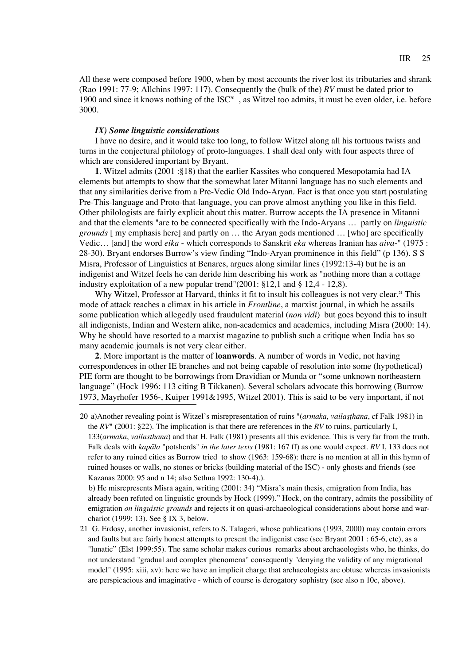All these were composed before 1900, when by most accounts the river lost its tributaries and shrank (Rao 1991: 77-9; Allchins 1997: 117). Consequently the (bulk of the) *RV* must be dated prior to 1900 and since it knows nothing of the  $ISC<sup>20</sup>$ , as Witzel too admits, it must be even older, i.e. before 3000.

## *IX) Some linguistic considerations*

I have no desire, and it would take too long, to follow Witzel along all his tortuous twists and turns in the conjectural philology of proto-languages. I shall deal only with four aspects three of which are considered important by Bryant.

**1**. Witzel admits (2001 :§18) that the earlier Kassites who conquered Mesopotamia had IA elements but attempts to show that the somewhat later Mitanni language has no such elements and that any similarities derive from a Pre-Vedic Old Indo-Aryan. Fact is that once you start postulating Pre-This-language and Proto-that-language, you can prove almost anything you like in this field. Other philologists are fairly explicit about this matter. Burrow accepts the IA presence in Mitanni and that the elements "are to be connected specifically with the Indo-Aryans … partly on *linguistic grounds* [ my emphasis here] and partly on … the Aryan gods mentioned … [who] are specifically Vedic… [and] the word *eika* - which corresponds to Sanskrit *eka* whereas Iranian has *aiva*-" (1975 : 28-30). Bryant endorses Burrow's view finding "Indo-Aryan prominence in this field" (p 136). S S Misra, Professor of Linguistics at Benares, argues along similar lines (1992:13-4) but he is an indigenist and Witzel feels he can deride him describing his work as "nothing more than a cottage industry exploitation of a new popular trend"(2001: §12,1 and § 12,4 - 12,8).

Why Witzel, Professor at Harvard, thinks it fit to insult his colleagues is not very clear.<sup>21</sup> This mode of attack reaches a climax in his article in *Frontline*, a marxist journal, in which he assails some publication which allegedly used fraudulent material (*non vidi*) but goes beyond this to insult all indigenists, Indian and Western alike, non-academics and academics, including Misra (2000: 14). Why he should have resorted to a marxist magazine to publish such a critique when India has so many academic journals is not very clear either.

**2**. More important is the matter of **loanwords**. A number of words in Vedic, not having correspondences in other IE branches and not being capable of resolution into some (hypothetical) PIE form are thought to be borrowings from Dravidian or Munda or "some unknown northeastern language" (Hock 1996: 113 citing B Tikkanen). Several scholars advocate this borrowing (Burrow 1973, Mayrhofer 1956-, Kuiper 1991&1995, Witzel 2001). This is said to be very important, if not

20 a)Another revealing point is Witzel's misrepresentation of ruins "(armaka, vailasthana, cf Falk 1981) in the *RV*" (2001: §22). The implication is that there are references in the *RV* to ruins, particularly I, 133(*armaka*, *vailasthana*) and that H. Falk (1981) presents all this evidence. This is very far from the truth. Falk deals with *kapala* "potsherds" *in the later texts* (1981: 167 ff) as one would expect. *RV* I, 133 does not refer to any ruined cities as Burrow tried to show (1963: 159-68): there is no mention at all in this hymn of ruined houses or walls, no stones or bricks (building material of the ISC) - only ghosts and friends (see Kazanas 2000: 95 and n 14; also Sethna 1992: 130-4).).

b) He misrepresents Misra again, writing (2001: 34) "Misra's main thesis, emigration from India, has already been refuted on linguistic grounds by Hock (1999)." Hock, on the contrary, admits the possibility of emigration *on linguistic grounds* and rejects it on quasi-archaeological considerations about horse and warchariot (1999: 13). See § IX 3, below.

21 G. Erdosy, another invasionist, refers to S. Talageri, whose publications (1993, 2000) may contain errors and faults but are fairly honest attempts to present the indigenist case (see Bryant 2001 : 65-6, etc), as a "lunatic" (Elst 1999:55). The same scholar makes curious remarks about archaeologists who, he thinks, do not understand "gradual and complex phenomena" consequently "denying the validity of any migrational model" (1995: xiii, xv): here we have an implicit charge that archaeologists are obtuse whereas invasionists are perspicacious and imaginative - which of course is derogatory sophistry (see also n 10c, above).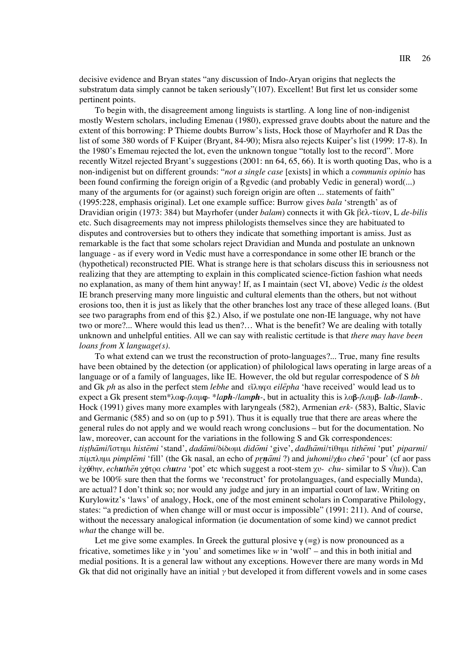decisive evidence and Bryan states "any discussion of Indo-Aryan origins that neglects the substratum data simply cannot be taken seriously"(107). Excellent! But first let us consider some pertinent points.

To begin with, the disagreement among linguists is startling. A long line of non-indigenist mostly Western scholars, including Emenau (1980), expressed grave doubts about the nature and the extent of this borrowing: P Thieme doubts Burrow's lists, Hock those of Mayrhofer and R Das the list of some 380 words of F Kuiper (Bryant, 84-90); Misra also rejects Kuiper's list (1999: 17-8). In the 1980's Ememau rejected the lot, even the unknown tongue "totally lost to the record". More recently Witzel rejected Bryant's suggestions (2001: nn 64, 65, 66). It is worth quoting Das, who is a non-indigenist but on different grounds: "*not a single case* [exists] in which a *communis opinio* has been found confirming the foreign origin of a Rgvedic (and probably Vedic in general) word(...) many of the arguments for (or against) such foreign origin are often ... statements of faith" (1995:228, emphasis original). Let one example suffice: Burrow gives *bala* 'strength' as of Dravidian origin (1973: 384) but Mayrhofer (under *balam*) connects it with Gk βελ-τίων, L de-bilis etc. Such disagreements may not impress philologists themselves since they are habituated to disputes and controversies but to others they indicate that something important is amiss. Just as remarkable is the fact that some scholars reject Dravidian and Munda and postulate an unknown language - as if every word in Vedic must have a correspondance in some other IE branch or the (hypothetical) reconstructed PIE. What is strange here is that scholars discuss this in seriousness not realizing that they are attempting to explain in this complicated science-fiction fashion what needs no explanation, as many of them hint anyway! If, as I maintain (sect VI, above) Vedic *is* the oldest IE branch preserving many more linguistic and cultural elements than the others, but not without erosions too, then it is just as likely that the other branches lost any trace of these alleged loans. (But see two paragraphs from end of this §2.) Also, if we postulate one non-IE language, why not have two or more?... Where would this lead us then?… What is the benefit? We are dealing with totally unknown and unhelpful entities. All we can say with realistic certitude is that *there may have been loans from X language(s)*.

To what extend can we trust the reconstruction of proto-languages?... True, many fine results have been obtained by the detection (or application) of philological laws operating in large areas of a language or of a family of languages, like IE. However, the old but regular correspodence of S *bh* and Gk *ph* as also in the perfect stem *lebhe* and  $\epsilon \tilde{\mu}$  *eilepha* 'have received' would lead us to expect a Gk present stem\* $\lambda \alpha \varphi$ - $\lambda \alpha \mu \varphi$ - $\frac{\alpha \varphi}{\alpha \mu}$ -/lamph-, but in actuality this is  $\lambda \alpha \beta$ - $\lambda \alpha \mu \beta$ - *lab*-/*lamb*-. Hock (1991) gives many more examples with laryngeals (582), Armenian *erk*- (583), Baltic, Slavic and Germanic (585) and so on (up to p 591). Thus it is equally true that there are areas where the general rules do not apply and we would reach wrong conclusions – but for the documentation. No law, moreover, can account for the variations in the following S and Gk correspondences: *tisthāmi/*<sup>κ</sup>στημι *histēmi* 'stand', *dadāmi*/δίδωμι *didōmi* 'give', *dadhāmi*/τίθημι *tithēmi* 'put' *piparmi*/  $\pi$ ίμπλημι *pimplemi* 'fill' (the Gk nasal, an echo of *prn* $\bar{a}$ *mi* ?) and *juhomi*/χ $\epsilon$ ω *cheo*<sup>-</sup> pour' (cf aor pass  $\hat{\epsilon}$ χύθην, *echuthēn* χύτρα *chutra* 'pot' etc which suggest a root-stem γν- *chu*- similar to S √*hu*)). Can we be 100% sure then that the forms we 'reconstruct' for protolanguages, (and especially Munda), are actual? I don't think so; nor would any judge and jury in an impartial court of law. Writing on Kurylowitz's 'laws' of analogy, Hock, one of the most eminent scholars in Comparative Philology, states: "a prediction of when change will or must occur is impossible" (1991: 211). And of course, without the necessary analogical information (ie documentation of some kind) we cannot predict *what* the change will be.

Let me give some examples. In Greek the guttural plosive  $\gamma$  (=g) is now pronounced as a fricative, sometimes like *y* in 'you' and sometimes like *w* in 'wolf' – and this in both initial and medial positions. It is a general law without any exceptions. However there are many words in Md Gk that did not originally have an initial  $\gamma$  but developed it from different vowels and in some cases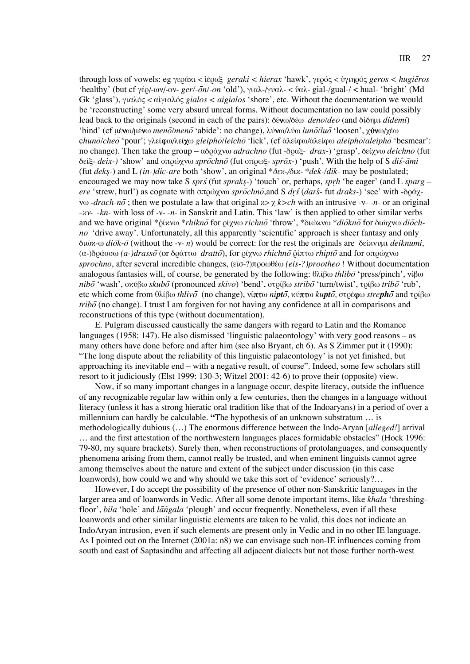through loss of vowels: eg γεράκι < λεύραξ *geraki < hierax* 'hawk', γερός < υγιηρός *geros < hugieros* 'healthy' (but cf γέρ/-ων/-ov- *ger/-ōn/-on* 'old'), γιαλ-/γυαλ- < ὑαλ- gial-/gual-/ < hual- 'bright' (Md Gk 'glass'), γιαλός < αίγιαλός *gialos* < *aigialos* 'shore', etc. Without the documentation we would be 'reconstructing' some very absurd unreal forms. Without documentation no law could possibly lead back to the originals (second in each of the pairs): δένω/δέω *deno<sup>†</sup>deo* (and δίδημι *didemi*) 'bind' (cf μένω/μένω *menō/menō* 'abide': no change), λύνω/λύω *lunō/luõ* 'loosen', γύνω/χέω chunō/cheō 'pour'; γλείφω/λείχω gleiphō/leichō 'lick', (cf ἀλείφω/ἀλείφω aleiphō/aleiphō 'besmear': no change). Then take the group – αδράχνω *adrachno* (fut -δραξ- *drax-*) 'grasp', δείχνω *deichno*<sup>†</sup> (fut  $\delta$ είξ- *deix*-) 'show' and σπρώγνω *sprochno* (fut σπρωξ- *sprox*-) 'push'. With the help of S *dis-ami* (fut *deks*-) and L *(in-)dic-are* both 'show', an original  $* \delta \epsilon \kappa$ -/ $\delta \iota \kappa$ - $* d \epsilon k$ -/dik- may be postulated; encouraged we may now take S *sprs* (fut *spraks*-) 'touch' or, perhaps, *sprh* 'be eager' (and L *sparg – ere* 'strew, hurl') as cognate with σπρώχνω *sprochno*, and S *drs*<sup>*(dars*-fut *draks-)* 'see' with -δράχ-</sup> v $\omega$  -*drach-no*; then we postulate a law that original  $x > \chi$  *k>ch* with an intrusive -v- -*n*- or an original -xv- -kn- with loss of -v- -n- in Sanskrit and Latin. This 'law' is then applied to other similar verbs and we have original \*δίκνω \*rhikno for ρίχνω richno<sup>†</sup> throw', \*διώκνω \*diokno<sup>5</sup> for διώχνω dioch $n\bar{o}$  'drive away'. Unfortunately, all this apparently 'scientific' approach is sheer fantasy and only  $\delta$ ιώχ-ω *diōk-ō* (without the -ν- *n*) would be correct: for the rest the originals are δείχνυμι *deiknumi*, (α-)δράσσω (a-)drasso<sup>5</sup> (or δράττω *dratto*<sup>5</sup>), for ρίχνω *rhichno* δίπτω *rhipto* and for σπρώχνω  $spr\bar{o}chn\bar{o}$ , after several incredible changes, ( $\epsilon\bar{o}$ <sup>2</sup>) $\pi\rho\sigma\omega\theta\epsilon\omega$  *(eis-?)pro* $\bar{o}$ *the* $\bar{o}$ ! Without documentation analogous fantasies will, of course, be generated by the following: θλίβω *thlibo* 'press/pinch', νίβω *nibō* 'wash', σκύβω *skubō* (pronounced *skivo*) 'bend', στρίβω *stribō* 'turn/twist', τρίβω *tribō* 'rub', etc which come from θλίβω *thlivo* (no change), νίπτω *nipto*, κύπτω *kupto*, στρέφω *strepho* and τρίβω  $trib\bar{o}$  (no change). I trust I am forgiven for not having any confidence at all in comparisons and reconstructions of this type (without documentation).

E. Pulgram discussed caustically the same dangers with regard to Latin and the Romance languages (1958: 147). He also dismissed 'linguistic palaeontology' with very good reasons – as many others have done before and after him (see also Bryant, ch 6). As S Zimmer put it (1990): "The long dispute about the reliability of this linguistic palaeontology' is not yet finished, but approaching its inevitable end – with a negative result, of course". Indeed, some few scholars still resort to it judiciously (Elst 1999: 130-3; Witzel 2001: 42-6) to prove their (opposite) view.

Now, if so many important changes in a language occur, despite literacy, outside the influence of any recognizable regular law within only a few centuries, then the changes in a language without literacy (unless it has a strong hieratic oral tradition like that of the Indoaryans) in a period of over a millennium can hardly be calculable. **"**The hypothesis of an unknown substratum … is methodologically dubious (…) The enormous difference between the Indo-Aryan [*alleged!*] arrival … and the first attestation of the northwestern languages places formidable obstacles" (Hock 1996: 79-80, my square brackets). Surely then, when reconstructions of protolanguages, and consequently phenomena arising from them, cannot really be trusted, and when eminent linguists cannot agree among themselves about the nature and extent of the subject under discussion (in this case loanwords), how could we and why should we take this sort of 'evidence' seriously?…

However, I do accept the possibility of the presence of other non-Sanskritic languages in the larger area and of loanwords in Vedic. After all some denote important items, like *khala* 'threshingfloor', *bila* 'hole' and *langala* 'plough' and occur frequently. Nonetheless, even if all these loanwords and other similar linguistic elements are taken to be valid, this does not indicate an IndoAryan intrusion, even if such elements are present only in Vedic and in no other IE language. As I pointed out on the Internet (2001a: n8) we can envisage such non-IE influences coming from south and east of Saptasindhu and affecting all adjacent dialects but not those further north-west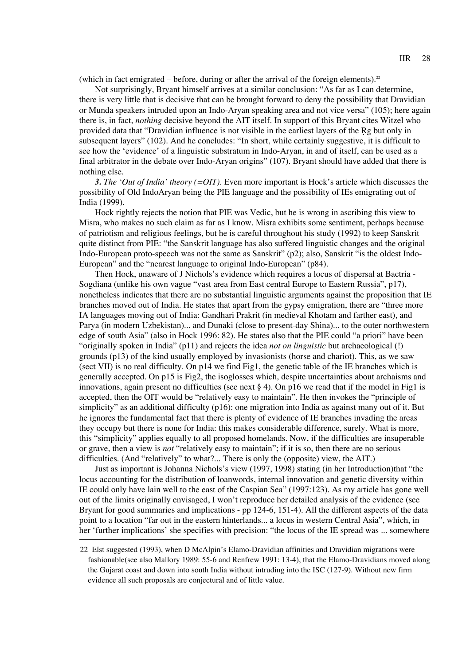(which in fact emigrated – before, during or after the arrival of the foreign elements).<sup>22</sup>

Not surprisingly, Bryant himself arrives at a similar conclusion: "As far as I can determine, there is very little that is decisive that can be brought forward to deny the possibility that Dravidian or Munda speakers intruded upon an Indo-Aryan speaking area and not vice versa" (105); here again there is, in fact, *nothing* decisive beyond the AIT itself. In support of this Bryant cites Witzel who provided data that "Dravidian influence is not visible in the earliest layers of the Rg but only in subsequent layers" (102). And he concludes: "In short, while certainly suggestive, it is difficult to see how the 'evidence' of a linguistic substratum in Indo-Aryan, in and of itself, can be used as a final arbitrator in the debate over Indo-Aryan origins" (107). Bryant should have added that there is nothing else.

*3. The 'Out of India' theory (=OIT).* Even more important is Hock's article which discusses the possibility of Old IndoAryan being the PIE language and the possibility of IEs emigrating out of India (1999).

Hock rightly rejects the notion that PIE was Vedic, but he is wrong in ascribing this view to Misra, who makes no such claim as far as I know. Misra exhibits some sentiment, perhaps because of patriotism and religious feelings, but he is careful throughout his study (1992) to keep Sanskrit quite distinct from PIE: "the Sanskrit language has also suffered linguistic changes and the original Indo-European proto-speech was not the same as Sanskrit" (p2); also, Sanskrit "is the oldest Indo-European" and the "nearest language to original Indo-European" (p84).

Then Hock, unaware of J Nichols's evidence which requires a locus of dispersal at Bactria - Sogdiana (unlike his own vague "vast area from East central Europe to Eastern Russia", p17), nonetheless indicates that there are no substantial linguistic arguments against the proposition that IE branches moved out of India. He states that apart from the gypsy emigration, there are "three more IA languages moving out of India: Gandhari Prakrit (in medieval Khotam and farther east), and Parya (in modern Uzbekistan)... and Dunaki (close to present-day Shina)... to the outer northwestern edge of south Asia" (also in Hock 1996: 82). He states also that the PIE could "a priori" have been "originally spoken in India" (p11) and rejects the idea *not on linguistic* but archaeological (!) grounds (p13) of the kind usually employed by invasionists (horse and chariot). This, as we saw (sect VII) is no real difficulty. On p14 we find Fig1, the genetic table of the IE branches which is generally accepted. On p15 is Fig2, the isoglosses which, despite uncertainties about archaisms and innovations, again present no difficulties (see next  $\S 4$ ). On p16 we read that if the model in Fig1 is accepted, then the OIT would be "relatively easy to maintain". He then invokes the "principle of simplicity" as an additional difficulty (p16): one migration into India as against many out of it. But he ignores the fundamental fact that there is plenty of evidence of IE branches invading the areas they occupy but there is none for India: this makes considerable difference, surely. What is more, this "simplicity" applies equally to all proposed homelands. Now, if the difficulties are insuperable or grave, then a view is *not* "relatively easy to maintain"; if it is so, then there are no serious difficulties. (And "relatively" to what?... There is only the (opposite) view, the AIT.)

Just as important is Johanna Nichols's view (1997, 1998) stating (in her Introduction)that "the locus accounting for the distribution of loanwords, internal innovation and genetic diversity within IE could only have lain well to the east of the Caspian Sea" (1997:123). As my article has gone well out of the limits originally envisaged, I won't reproduce her detailed analysis of the evidence (see Bryant for good summaries and implications - pp 124-6, 151-4). All the different aspects of the data point to a location "far out in the eastern hinterlands... a locus in western Central Asia", which, in her 'further implications' she specifies with precision: "the locus of the IE spread was ... somewhere

<sup>22</sup> Elst suggested (1993), when D McAlpin's Elamo-Dravidian affinities and Dravidian migrations were fashionable(see also Mallory 1989: 55-6 and Renfrew 1991: 13-4), that the Elamo-Dravidians moved along the Gujarat coast and down into south India without intruding into the ISC (127-9). Without new firm evidence all such proposals are conjectural and of little value.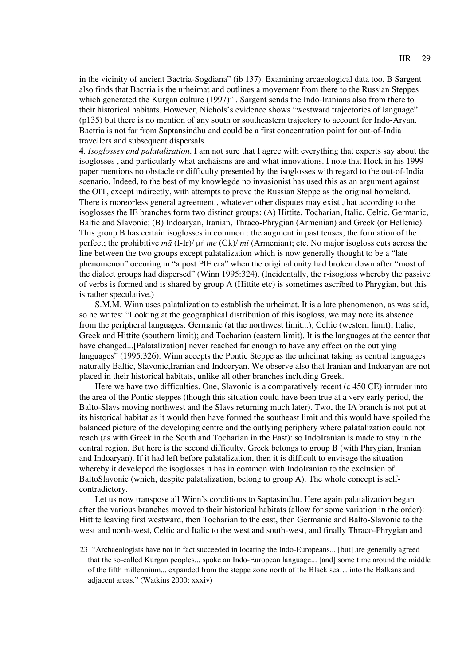in the vicinity of ancient Bactria-Sogdiana" (ib 137). Examining arcaeological data too, B Sargent also finds that Bactria is the urheimat and outlines a movement from there to the Russian Steppes which generated the Kurgan culture  $(1997)^{23}$ . Sargent sends the Indo-Iranians also from there to their historical habitats. However, Nichols's evidence shows "westward trajectories of language" (p135) but there is no mention of any south or southeastern trajectory to account for Indo-Aryan. Bactria is not far from Saptansindhu and could be a first concentration point for out-of-India travellers and subsequent dispersals.

**4**. *Isoglosses and palatalization.* I am not sure that I agree with everything that experts say about the isoglosses , and particularly what archaisms are and what innovations. I note that Hock in his 1999 paper mentions no obstacle or difficulty presented by the isoglosses with regard to the out-of-India scenario. Indeed, to the best of my knowlegde no invasionist has used this as an argument against the OIT, except indirectly, with attempts to prove the Russian Steppe as the original homeland. There is moreorless general agreement , whatever other disputes may exist ,that according to the isoglosses the IE branches form two distinct groups: (A) Hittite, Tocharian, Italic, Celtic, Germanic, Baltic and Slavonic; (B) Indoaryan, Iranian, Thraco-Phrygian (Armenian) and Greek (or Hellenic). This group B has certain isoglosses in common : the augment in past tenses; the formation of the perfect; the prohibitive  $m\tilde{a}$  (I-Ir)/  $\mu\dot{\eta}$   $m\tilde{e}$  (Gk)/  $mi$  (Armenian); etc. No major isogloss cuts across the line between the two groups except palatalization which is now generally thought to be a "late phenomenon" occuring in "a post PIE era" when the original unity had broken down after "most of the dialect groups had dispersed" (Winn 1995:324). (Incidentally, the r-isogloss whereby the passive of verbs is formed and is shared by group A (Hittite etc) is sometimes ascribed to Phrygian, but this is rather speculative.)

S.M.M. Winn uses palatalization to establish the urheimat. It is a late phenomenon, as was said, so he writes: "Looking at the geographical distribution of this isogloss, we may note its absence from the peripheral languages: Germanic (at the northwest limit...); Celtic (western limit); Italic, Greek and Hittite (southern limit); and Tocharian (eastern limit). It is the languages at the center that have changed...[Palatalization] never reached far enough to have any effect on the outlying languages" (1995:326). Winn accepts the Pontic Steppe as the urheimat taking as central languages naturally Baltic, Slavonic,Iranian and Indoaryan. We observe also that Iranian and Indoaryan are not placed in their historical habitats, unlike all other branches including Greek.

Here we have two difficulties. One, Slavonic is a comparatively recent (c 450 CE) intruder into the area of the Pontic steppes (though this situation could have been true at a very early period, the Balto-Slavs moving northwest and the Slavs returning much later). Two, the IA branch is not put at its historical habitat as it would then have formed the southeast limit and this would have spoiled the balanced picture of the developing centre and the outlying periphery where palatalization could not reach (as with Greek in the South and Tocharian in the East): so IndoIranian is made to stay in the central region. But here is the second difficulty. Greek belongs to group B (with Phrygian, Iranian and Indoaryan). If it had left before palatalization, then it is difficult to envisage the situation whereby it developed the isoglosses it has in common with IndoIranian to the exclusion of BaltoSlavonic (which, despite palatalization, belong to group A). The whole concept is selfcontradictory.

Let us now transpose all Winn's conditions to Saptasindhu. Here again palatalization began after the various branches moved to their historical habitats (allow for some variation in the order): Hittite leaving first westward, then Tocharian to the east, then Germanic and Balto-Slavonic to the west and north-west, Celtic and Italic to the west and south-west, and finally Thraco-Phrygian and

<sup>23 &</sup>quot;Archaeologists have not in fact succeeded in locating the Indo-Europeans... [but] are generally agreed that the so-called Kurgan peoples... spoke an Indo-European language... [and] some time around the middle of the fifth millennium... expanded from the steppe zone north of the Black sea… into the Balkans and adjacent areas." (Watkins 2000: xxxiv)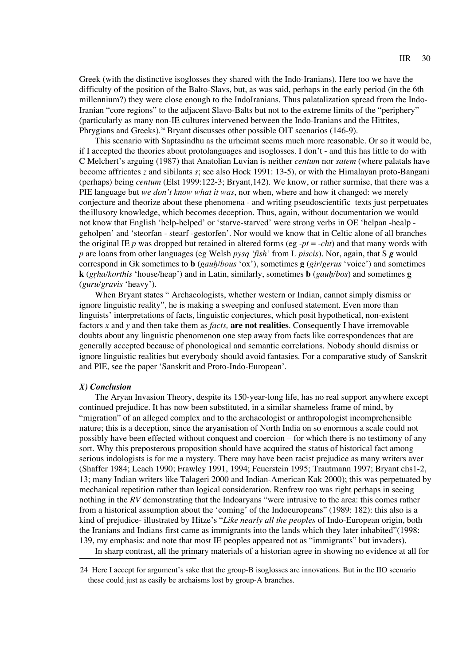Greek (with the distinctive isoglosses they shared with the Indo-Iranians). Here too we have the difficulty of the position of the Balto-Slavs, but, as was said, perhaps in the early period (in the 6th millennium?) they were close enough to the IndoIranians. Thus palatalization spread from the Indo-Iranian "core regions" to the adjacent Slavo-Balts but not to the extreme limits of the "periphery" (particularly as many non-IE cultures intervened between the Indo-Iranians and the Hittites, Phrygians and Greeks).<sup>24</sup> Bryant discusses other possible OIT scenarios (146-9).

This scenario with Saptasindhu as the urheimat seems much more reasonable. Or so it would be, if I accepted the theories about protolanguages and isoglosses. I don't - and this has little to do with C Melchert's arguing (1987) that Anatolian Luvian is neither *centum* nor *satem* (where palatals have become affricates *z* and sibilants *s*; see also Hock 1991: 13-5), or with the Himalayan proto-Bangani (perhaps) being *centum* (Elst 1999:122-3; Bryant,142). We know, or rather surmise, that there was a PIE language but *we don't know what it was*, nor when, where and how it changed: we merely conjecture and theorize about these phenomena - and writing pseudoscientific texts just perpetuates theillusory knowledge, which becomes deception. Thus, again, without documentation we would not know that English 'help-helped' or 'starve-starved' were strong verbs in OE 'helpan -healp geholpen' and 'steorfan - stearf -gestorfen'. Nor would we know that in Celtic alone of all branches the original IE *p* was dropped but retained in altered forms (eg  $-pt = -cht$ ) and that many words with *p* are loans from other languages (eg Welsh *pysq 'fish'* from L *piscis*). Nor, again, that S *g* would correspond in Gk sometimes to **b** (*gauh*-*/bous* 'ox'), sometimes **g** (*gir/ge*a*rus* 'voice') and sometimes **k** (*gr*r*ha/korthis* 'house/heap') and in Latin, similarly, sometimes **b** (*gauh*-*/bos*) and sometimes **g** (*guru/gravis* 'heavy')*.*

When Bryant states " Archaeologists, whether western or Indian, cannot simply dismiss or ignore linguistic reality", he is making a sweeping and confused statement. Even more than linguists' interpretations of facts, linguistic conjectures, which posit hypothetical, non-existent factors *x* and *y* and then take them as *facts,* **are not realities***.* Consequently I have irremovable doubts about any linguistic phenomenon one step away from facts like correspondences that are generally accepted because of phonological and semantic correlations. Nobody should dismiss or ignore linguistic realities but everybody should avoid fantasies. For a comparative study of Sanskrit and PIE, see the paper 'Sanskrit and Proto-Indo-European'.

### *X) Conclusion*

The Aryan Invasion Theory, despite its 150-year-long life, has no real support anywhere except continued prejudice. It has now been substituted, in a similar shameless frame of mind, by "migration" of an alleged complex and to the archaeologist or anthropologist incomprehensible nature; this is a deception, since the aryanisation of North India on so enormous a scale could not possibly have been effected without conquest and coercion – for which there is no testimony of any sort. Why this preposterous proposition should have acquired the status of historical fact among serious indologists is for me a mystery. There may have been racist prejudice as many writers aver (Shaffer 1984; Leach 1990; Frawley 1991, 1994; Feuerstein 1995; Trautmann 1997; Bryant chs1-2, 13; many Indian writers like Talageri 2000 and Indian-American Kak 2000); this was perpetuated by mechanical repetition rather than logical consideration. Renfrew too was right perhaps in seeing nothing in the *RV* demonstrating that the Indoaryans "were intrusive to the area: this comes rather from a historical assumption about the 'coming' of the Indoeuropeans" (1989: 182): this also is a kind of prejudice- illustrated by Hitze's "*Like nearly all the peoples* of Indo-European origin, both the Iranians and Indians first came as immigrants into the lands which they later inhabited"(1998: 139, my emphasis: and note that most IE peoples appeared not as "immigrants" but invaders).

In sharp contrast, all the primary materials of a historian agree in showing no evidence at all for

<sup>24</sup> Here I accept for argument's sake that the group-B isoglosses are innovations. But in the IIO scenario these could just as easily be archaisms lost by group-A branches.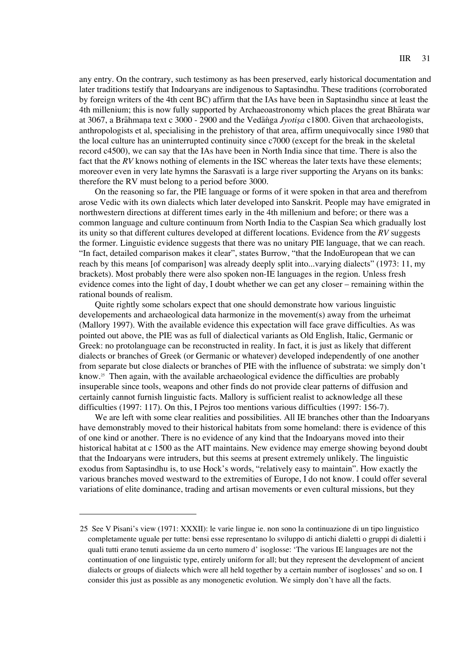any entry. On the contrary, such testimony as has been preserved, early historical documentation and later traditions testify that Indoaryans are indigenous to Saptasindhu. These traditions (corroborated by foreign writers of the 4th cent BC) affirm that the IAs have been in Saptasindhu since at least the 4th millenium; this is now fully supported by Archaeoastronomy which places the great Bharata war at 3067, a Brahmana text c 3000 - 2900 and the Vedanga *Jyotisa* c1800. Given that archaeologists, anthropologists et al, specialising in the prehistory of that area, affirm unequivocally since 1980 that the local culture has an uninterrupted continuity since c7000 (except for the break in the skeletal record c4500), we can say that the IAs have been in North India since that time. There is also the fact that the *RV* knows nothing of elements in the ISC whereas the later texts have these elements; moreover even in very late hymns the Sarasvati is a large river supporting the Aryans on its banks: therefore the RV must belong to a period before 3000.

On the reasoning so far, the PIE language or forms of it were spoken in that area and therefrom arose Vedic with its own dialects which later developed into Sanskrit. People may have emigrated in northwestern directions at different times early in the 4th millenium and before; or there was a common language and culture continuum from North India to the Caspian Sea which gradually lost its unity so that different cultures developed at different locations. Evidence from the *RV* suggests the former. Linguistic evidence suggests that there was no unitary PIE language, that we can reach. "In fact, detailed comparison makes it clear", states Burrow, "that the IndoEuropean that we can reach by this means [of comparison] was already deeply split into...varying dialects" (1973: 11, my brackets). Most probably there were also spoken non-IE languages in the region. Unless fresh evidence comes into the light of day, I doubt whether we can get any closer – remaining within the rational bounds of realism.

Quite rightly some scholars expect that one should demonstrate how various linguistic developements and archaeological data harmonize in the movement(s) away from the urheimat (Mallory 1997). With the available evidence this expectation will face grave difficulties. As was pointed out above, the PIE was as full of dialectical variants as Old English, Italic, Germanic or Greek: no protolanguage can be reconstructed in reality. In fact, it is just as likely that different dialects or branches of Greek (or Germanic or whatever) developed independently of one another from separate but close dialects or branches of PIE with the influence of substrata: we simply don't know.25 Then again, with the available archaeological evidence the difficulties are probably insuperable since tools, weapons and other finds do not provide clear patterns of diffusion and certainly cannot furnish linguistic facts. Mallory is sufficient realist to acknowledge all these difficulties (1997: 117). On this, I Pejros too mentions various difficulties (1997: 156-7).

We are left with some clear realities and possibilities. All IE branches other than the Indoaryans have demonstrably moved to their historical habitats from some homeland: there is evidence of this of one kind or another. There is no evidence of any kind that the Indoaryans moved into their historical habitat at c 1500 as the AIT maintains. New evidence may emerge showing beyond doubt that the Indoaryans were intruders, but this seems at present extremely unlikely. The linguistic exodus from Saptasindhu is, to use Hock's words, "relatively easy to maintain". How exactly the various branches moved westward to the extremities of Europe, I do not know. I could offer several variations of elite dominance, trading and artisan movements or even cultural missions, but they

<sup>25</sup> See V Pisani's view (1971: XXXII): le varie lingue ie. non sono la continuazione di un tipo linguistico completamente uguale per tutte: bensi esse representano lo sviluppo di antichi dialetti o gruppi di dialetti i quali tutti erano tenuti assieme da un certo numero d' isoglosse: 'The various IE languages are not the continuation of one linguistic type, entirely uniform for all; but they represent the development of ancient dialects or groups of dialects which were all held together by a certain number of isoglosses' and so on. I consider this just as possible as any monogenetic evolution. We simply don't have all the facts.